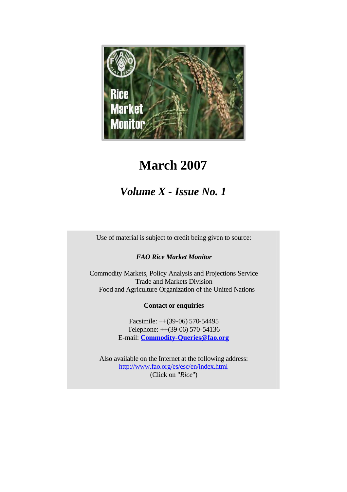

# **March 2007**

# *Volume X - Issue No. 1*

Use of material is subject to credit being given to source:

## *FAO Rice Market Monitor*

Commodity Markets, Policy Analysis and Projections Service Trade and Markets Division Food and Agriculture Organization of the United Nations

#### **Contact or enquiries**

Facsimile: ++(39-06) 570-54495 Telephone: ++(39-06) 570-54136 E-mail: **Commodity-Queries@fao.org**

Also available on the Internet at the following address: http://www.fao.org/es/esc/en/index.html (Click on "*Rice*")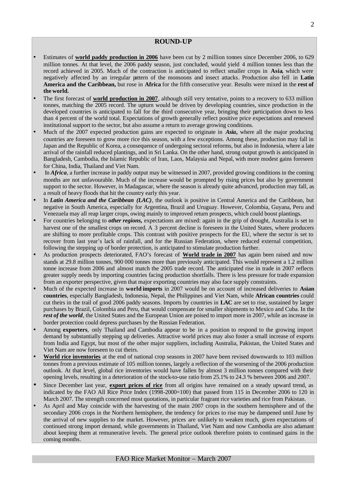#### **ROUND-UP**

- Estimates of **world paddy production in 2006** have been cut by 2 million tonnes since December 2006, to 629 million tonnes. At that level, the 2006 paddy season, just concluded, would yield 4 million tonnes less than the record achieved in 2005. Much of the contraction is anticipated to reflect smaller crops in **Asia**, which were negatively affected by an irregular pattern of the monsoons and insect attacks. Production also fell in **Latin America and the Caribbean,** but rose in **Africa** for the fifth consecutive year. Results were mixed in the **rest of the world.**
- The first forecast of **world production in 2007**, although still very tentative, points to a recovery to 633 million tonnes, matching the 2005 record. The upturn would be driven by developing countries, since production in the developed countries is anticipated to fall for the third consecutive year, bringing their participation down to less than 4 percent of the world total. Expectations of growth generally reflect positive price expectations and renewed institutional support to the sector, but also assume a return to average growing conditions.
- Much of the 2007 expected production gains are expected to originate in *Asia***,** where all the major producing countries are foreseen to grow more rice this season, with a few exceptions. Among these, production may fall in Japan and the Republic of Korea, a consequence of undergoing sectoral reforms, but also in Indonesia, where a late arrival of the rainfall reduced plantings, and in Sri Lanka. On the other hand, strong output growth is anticipated in Bangladesh, Cambodia, the Islamic Republic of Iran, Laos, Malaysia and Nepal, with more modest gains foreseen for China, India, Thailand and Viet Nam.
- In *Africa*, a further increase in paddy output may be witnessed in 2007, provided growing conditions in the coming months are not unfavourable. Much of the increase would be prompted by rising prices but also by government support to the sector. However, in Madagascar, where the season is already quite advanced, production may fall, as a result of heavy floods that hit the country early this year.
- In *Latin America and the Caribbean (LAC)*, the outlook is positive in Central America and the Caribbean, but negative in South America, especially for Argentina, Brazil and Uruguay. However, Colombia, Guyana, Peru and Venezuela may all reap larger crops, owing mainly to improved return prospects, which could boost plantings.
- For countries belonging to *other regions,* expectations are mixed: again in the grip of drought, Australia is set to harvest one of the smallest crops on record. A 3 percent decline is foreseen in the United States, where producers are shifting to more profitable crops. This contrast with positive prospects for the EU, where the sector is set to recover from last year's lack of rainfall, and for the Russian Federation, where reduced external competition, following the stepping up of border protection, is anticipated to stimulate production further.
- As production prospects deteriorated, FAO's forecast of **World trade in 2007** has again been raised and now stands at 29.8 million tonnes, 900 000 tonnes more than previously anticipated. This would represent a 1.2 million tonne increase from 2006 and almost match the 2005 trade record. The anticipated rise in trade in 2007 reflects greater supply needs by importing countries facing production shortfalls. There is less pressure for trade expansion from an exporter perspective, given that major exporting countries may also face supply constraints.
- Much of the expected increase in **world imports** in 2007 would be on account of increased deliveries to **Asian countries**, especially Bangladesh, Indonesia, Nepal, the Philippines and Viet Nam, while **African countries** could cut theirs in the trail of good 2006 paddy seasons. Imports by countries in **LAC** are set to rise, sustained by larger purchases by Brazil, Colombia and Peru, that would compensate for smaller shipments to Mexico and Cuba. In the *rest of the world*, the United States and the European Union are poised to import more in 2007, while an increase in border protection could depress purchases by the Russian Federation.
- Among **exporters**, only Thailand and Cambodia appear to be in a position to respond to the growing import demand by substantially stepping up deliveries. Attractive world prices may also foster a small increase of exports from India and Egypt, but most of the other major suppliers, including Australia, Pakistan, the United States and Viet Nam are now foreseen to cut theirs.
- **World rice inventories** at the end of national crop seasons in 2007 have been revised downwards to 103 million tonnes from a previous estimate of 105 million tonnes, largely a reflection of the worsening of the 2006 production outlook. At that level, global rice inventories would have fallen by almost 3 million tonnes compared with their opening levels, resulting in a deterioration of the stock-to-use ratio from 25.1% to 24.3 % between 2006 and 2007.
- Since December last year, **export prices of rice** from all origins have remained on a steady upward trend, as indicated by the FAO All Rice Price Index (1998-2000=100) that passed from 115 in December 2006 to 120 in March 2007. The strength concerned most quotations, in particular fragrant rice varieties and rice from Pakistan.
- As April and May coincide with the harvesting of the main 2007 crops in the southern hemisphere and of the secondary 2006 crops in the Northern hemisphere, the tendency for prices to rise may be dampened until June by the arrival of new supplies to the market. However, prices are unlikely to weaken much, given expectations of continued strong import demand, while governments in Thailand, Viet Nam and now Cambodia are also adamant about keeping them at remunerative levels. The general price outlook therefore points to continued gains in the coming months.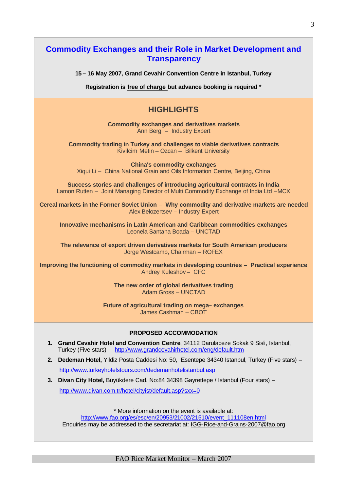| <b>Commodity Exchanges and their Role in Market Development and</b><br><b>Transparency</b>                                                                                                                   |
|--------------------------------------------------------------------------------------------------------------------------------------------------------------------------------------------------------------|
| 15 – 16 May 2007, Grand Cevahir Convention Centre in Istanbul, Turkey                                                                                                                                        |
| Registration is free of charge but advance booking is required *                                                                                                                                             |
| <b>HIGHLIGHTS</b>                                                                                                                                                                                            |
| <b>Commodity exchanges and derivatives markets</b><br>Ann Berg - Industry Expert                                                                                                                             |
| <b>Commodity trading in Turkey and challenges to viable derivatives contracts</b><br>Kivilcim Metin - Özcan - Bilkent University                                                                             |
| <b>China's commodity exchanges</b><br>Xiqui Li - China National Grain and Oils Information Centre, Beijing, China                                                                                            |
| Success stories and challenges of introducing agricultural contracts in India<br>Lamon Rutten - Joint Managing Director of Multi Commodity Exchange of India Ltd -MCX                                        |
| Cereal markets in the Former Soviet Union - Why commodity and derivative markets are needed<br>Alex Belozertsev - Industry Expert                                                                            |
| <b>Innovative mechanisms in Latin American and Caribbean commodities exchanges</b><br>Leonela Santana Boada - UNCTAD                                                                                         |
| The relevance of export driven derivatives markets for South American producers<br>Jorge Westcamp, Chairman - ROFEX                                                                                          |
| Improving the functioning of commodity markets in developing countries - Practical experience<br>Andrey Kuleshov- CFC                                                                                        |
| The new order of global derivatives trading<br>Adam Gross - UNCTAD                                                                                                                                           |
| Future of agricultural trading on mega-exchanges<br>James Cashman - CBOT                                                                                                                                     |
| <b>PROPOSED ACCOMMODATION</b>                                                                                                                                                                                |
| 1. Grand Cevahir Hotel and Convention Centre, 34112 Darulaceze Sokak 9 Sisli, Istanbul,<br>Turkey (Five stars) - http://www.grandcevahirhotel.com/eng/default.htm                                            |
| Dedeman Hotel, Yildiz Posta Caddesi No: 50, Esentepe 34340 Istanbul, Turkey (Five stars) -<br>2.                                                                                                             |
| http://www.turkeyhotelstours.com/dedemanhotelistanbul.asp                                                                                                                                                    |
| 3.<br>Divan City Hotel, Büyükdere Cad. No:84 34398 Gayrettepe / Istanbul (Four stars) -<br>http://www.divan.com.tr/hotel/cityist/default.asp?sxx=0                                                           |
| * More information on the event is available at:<br>http://www.fao.org/es/esc/en/20953/21002/21510/event_111108en.html<br>Enquiries may be addressed to the secretariat at: IGG-Rice-and-Grains-2007@fao.org |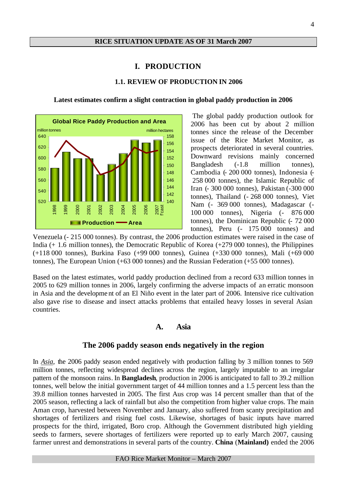#### **I. PRODUCTION**

#### **1.1. REVIEW OF PRODUCTION IN 2006**

**Latest estimates confirm a slight contraction in global paddy production in 2006**



The global paddy production outlook for 2006 has been cut by about 2 million tonnes since the release of the December issue of the Rice Market Monitor, as prospects deteriorated in several countries. Downward revisions mainly concerned Bangladesh (-1.8 million tonnes), Cambodia (- 200 000 tonnes), Indonesia (- 258 000 tonnes), the Islamic Republic of Iran (- 300 000 tonnes), Pakistan (-300 000 tonnes), Thailand (- 268 000 tonnes), Viet Nam (- 369 000 tonnes), Madagascar (- 100 000 tonnes), Nigeria (- 876 000 tonnes), the Dominican Republic (- 72 000 tonnes), Peru (- 175 000 tonnes) and

Venezuela (- 215 000 tonnes). By contrast, the 2006 production estimates were raised in the case of India (+ 1.6 million tonnes), the Democratic Republic of Korea (+279 000 tonnes), the Philippines (+118 000 tonnes), Burkina Faso (+99 000 tonnes), Guinea (+330 000 tonnes), Mali (+69 000 tonnes), The European Union (+63 000 tonnes) and the Russian Federation (+55 000 tonnes).

Based on the latest estimates, world paddy production declined from a record 633 million tonnes in 2005 to 629 million tonnes in 2006, largely confirming the adverse impacts of an erratic monsoon in Asia and the developme nt of an El Niño event in the later part of 2006. Intensive rice cultivation also gave rise to disease and insect attacks problems that entailed heavy losses in several Asian countries.

#### **A. Asia**

#### **The 2006 paddy season ends negatively in the region**

In *Asia*, the 2006 paddy season ended negatively with production falling by 3 million tonnes to 569 million tonnes, reflecting widespread declines across the region, largely imputable to an irregular pattern of the monsoon rains. In **Bangladesh**, production in 2006 is anticipated to fall to 39.2 million tonnes, well below the initial government target of 44 million tonnes and a 1.5 percent less than the 39.8 million tonnes harvested in 2005. The first Aus crop was 14 percent smaller than that of the 2005 season, reflecting a lack of rainfall but also the competition from higher value crops. The main Aman crop, harvested between November and January, also suffered from scanty precipitation and shortages of fertilizers and rising fuel costs. Likewise, shortages of basic inputs have marred prospects for the third, irrigated, Boro crop. Although the Government distributed high yielding seeds to farmers, severe shortages of fertilizers were reported up to early March 2007, causing farmer unrest and demonstrations in several parts of the country. **China** (**Mainland)** ended the 2006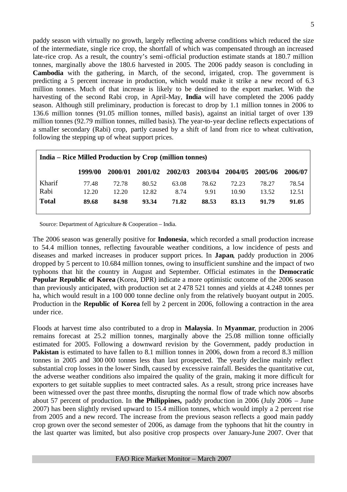paddy season with virtually no growth, largely reflecting adverse conditions which reduced the size of the intermediate, single rice crop, the shortfall of which was compensated through an increased late-rice crop. As a result, the country's semi-official production estimate stands at 180.7 million tonnes, marginally above the 180.6 harvested in 2005. The 2006 paddy season is concluding in **Cambodia** with the gathering, in March, of the second, irrigated, crop. The government is predicting a 5 percent increase in production, which would make it strike a new record of 6.3 million tonnes. Much of that increase is likely to be destined to the export market. With the harvesting of the second Rabi crop, in April-May, **India** will have completed the 2006 paddy season. Although still preliminary, production is forecast to drop by 1.1 million tonnes in 2006 to 136.6 million tonnes (91.05 million tonnes, milled basis), against an initial target of over 139 million tonnes (92.79 million tonnes, milled basis). The year-to-year decline reflects expectations of a smaller secondary (Rabi) crop, partly caused by a shift of land from rice to wheat cultivation, following the stepping up of wheat support prices.

| <b>India – Rice Milled Production by Crop (million tonnes)</b> |         |         |         |         |         |         |         |         |
|----------------------------------------------------------------|---------|---------|---------|---------|---------|---------|---------|---------|
|                                                                | 1999/00 | 2000/01 | 2001/02 | 2002/03 | 2003/04 | 2004/05 | 2005/06 | 2006/07 |
| Kharif                                                         | 77.48   | 72.78   | 80.52   | 63.08   | 78.62   | 72.23   | 78.27   | 78.54   |
| Rabi                                                           | 12.20   | 12.20   | 12.82   | 8.74    | 9.91    | 10.90   | 13.52   | 12.51   |
| <b>Total</b>                                                   | 89.68   | 84.98   | 93.34   | 71.82   | 88.53   | 83.13   | 91.79   | 91.05   |

Source: Department of Agriculture & Cooperation – India.

The 2006 season was generally positive for **Indonesia**, which recorded a small production increase to 54.4 million tonnes, reflecting favourable weather conditions, a low incidence of pests and diseases and marked increases in producer support prices. In **Japan**, paddy production in 2006 dropped by 5 percent to 10.684 million tonnes, owing to insufficient sunshine and the impact of two typhoons that hit the country in August and September. Official estimates in the **Democratic Popular Republic of Korea** (Korea, DPR) indicate a more optimistic outcome of the 2006 season than previously anticipated, with production set at 2 478 521 tonnes and yields at 4.248 tonnes per ha, which would result in a 100 000 tonne decline only from the relatively buoyant output in 2005. Production in the **Republic of Korea** fell by 2 percent in 2006, following a contraction in the area under rice.

Floods at harvest time also contributed to a drop in **Malaysia**. In **Myanmar**, production in 2006 remains forecast at 25.2 million tonnes, marginally above the 25.08 million tonne officially estimated for 2005. Following a downward revision by the Government, paddy production in **Pakistan** is estimated to have fallen to 8.1 million tonnes in 2006, down from a record 8.3 million tonnes in 2005 and 300 000 tonnes less than last prospected. The yearly decline mainly reflect substantial crop losses in the lower Sindh, caused by excessive rainfall. Besides the quantitative cut, the adverse weather conditions also impaired the quality of the grain, making it more difficult for exporters to get suitable supplies to meet contracted sales. As a result, strong price increases have been witnessed over the past three months, disrupting the normal flow of trade which now absorbs about 57 percent of production. In **the Philippines,** paddy production in 2006 (July 2006 – June 2007) has been slightly revised upward to 15.4 million tonnes, which would imply a 2 percent rise from 2005 and a new record. The increase from the previous season reflects a good main paddy crop grown over the second semester of 2006, as damage from the typhoons that hit the country in the last quarter was limited, but also positive crop prospects over January-June 2007. Over that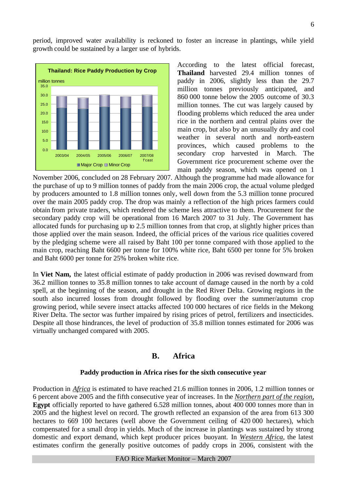period, improved water availability is reckoned to foster an increase in plantings, while yield growth could be sustained by a larger use of hybrids.



According to the latest official forecast, **Thailand** harvested 29.4 million tonnes of paddy in 2006, slightly less than the 29.7 million tonnes previously anticipated, and 860 000 tonne below the 2005 outcome of 30.3 million tonnes. The cut was largely caused by flooding problems which reduced the area under rice in the northern and central plains over the main crop, but also by an unusually dry and cool weather in several north and north-eastern provinces, which caused problems to the secondary crop harvested in March. The Government rice procurement scheme over the main paddy season, which was opened on 1

November 2006, concluded on 28 February 2007. Although the programme had made allowance for the purchase of up to 9 million tonnes of paddy from the main 2006 crop, the actual volume pledged by producers amounted to 1.8 million tonnes only, well down from the 5.3 million tonne procured over the main 2005 paddy crop. The drop was mainly a reflection of the high prices farmers could obtain from private traders, which rendered the scheme less attractive to them. Procurement for the secondary paddy crop will be operational from 16 March 2007 to 31 July. The Government has allocated funds for purchasing up to 2.5 million tonnes from that crop, at slightly higher prices than those applied over the main season. Indeed, the official prices of the various rice qualities covered by the pledging scheme were all raised by Baht 100 per tonne compared with those applied to the main crop, reaching Baht 6600 per tonne for 100% white rice, Baht 6500 per tonne for 5% broken and Baht 6000 per tonne for 25% broken white rice.

In **Viet Nam,** the latest official estimate of paddy production in 2006 was revised downward from 36.2 million tonnes to 35.8 million tonnes to take account of damage caused in the north by a cold spell, at the beginning of the season, and drought in the Red River Delta. Growing regions in the south also incurred losses from drought followed by flooding over the summer/autumn crop growing period, while severe insect attacks affected 100 000 hectares of rice fields in the Mekong River Delta. The sector was further impaired by rising prices of petrol, fertilizers and insecticides. Despite all those hindrances, the level of production of 35.8 million tonnes estimated for 2006 was virtually unchanged compared with 2005.

## **B. Africa**

#### **Paddy production in Africa rises for the sixth consecutive year**

Production in *Africa* is estimated to have reached 21.6 million tonnes in 2006, 1.2 million tonnes or 6 percent above 2005 and the fifth consecutive year of increases. In the *Northern part of the region*, **Egypt** officially reported to have gathered 6.528 million tonnes, about 400 000 tonnes more than in 2005 and the highest level on record. The growth reflected an expansion of the area from 613 300 hectares to 669 100 hectares (well above the Government ceiling of 420 000 hectares), which compensated for a small drop in yields. Much of the increase in plantings was sustained by strong domestic and export demand, which kept producer prices buoyant. In *Western Africa*, the latest estimates confirm the generally positive outcomes of paddy crops in 2006, consistent with the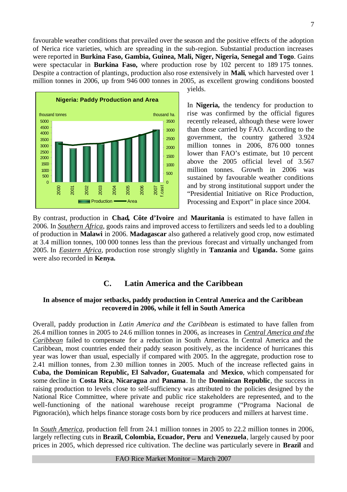favourable weather conditions that prevailed over the season and the positive effects of the adoption of Nerica rice varieties, which are spreading in the sub-region. Substantial production increases were reported in **Burkina Faso, Gambia, Guinea, Mali, Niger, Nigeria, Senegal and Togo**. Gains were spectacular in **Burkina Faso,** where production rose by 102 percent to 189 175 tonnes. Despite a contraction of plantings, production also rose extensively in **Mali**, which harvested over 1 million tonnes in 2006, up from 946 000 tonnes in 2005, as excellent growing conditions boosted



yields.

In **Nigeria,** the tendency for production to rise was confirmed by the official figures recently released, although these were lower than those carried by FAO. According to the government, the country gathered 3.924 million tonnes in 2006, 876 000 tonnes lower than FAO's estimate, but 10 percent above the 2005 official level of 3.567 million tonnes. Growth in 2006 was sustained by favourable weather conditions and by strong institutional support under the "Presidential Initiative on Rice Production, Processing and Export" in place since 2004.

By contrast, production in **Chad, Côte d'Ivoire** and **Mauritania** is estimated to have fallen in 2006. In *Southern Africa*, goods rains and improved access to fertilizers and seeds led to a doubling of production in **Malawi** in 2006. **Madagascar** also gathered a relatively good crop, now estimated at 3.4 million tonnes, 100 000 tonnes less than the previous forecast and virtually unchanged from 2005. In *Eastern Africa,* production rose strongly slightly in **Tanzania** and **Uganda.** Some gains were also recorded in **Kenya.** 

#### **C. Latin America and the Caribbean**

#### **In absence of major setbacks, paddy production in Central America and the Caribbean recovered in 2006, while it fell in South America**

Overall, paddy production in *Latin America and the Caribbean* is estimated to have fallen from 26.4 million tonnes in 2005 to 24.6 million tonnes in 2006, as increases in *Central America and the Caribbean* failed to compensate for a reduction in South America. In Central America and the Caribbean, most countries ended their paddy season positively, as the incidence of hurricanes this year was lower than usual, especially if compared with 2005. In the aggregate, production rose to 2.41 million tonnes, from 2.30 million tonnes in 2005. Much of the increase reflected gains in **Cuba, the Dominican Republic, El Salvador, Guatemala** and **Mexico**, which compensated for some decline in **Costa Rica**, **Nicaragua** and **Panama**. In the **Dominican Republic**, the success in raising production to levels close to self-sufficiency was attributed to the policies designed by the National Rice Committee, where private and public rice stakeholders are represented, and to the well-functioning of the national warehouse receipt programme ("Programa Nacional de Pignoración), which helps finance storage costs born by rice producers and millers at harvest time.

In *South America*, production fell from 24.1 million tonnes in 2005 to 22.2 million tonnes in 2006, largely reflecting cuts in **Brazil, Colombia, Ecuador, Peru** and **Venezuela**, largely caused by poor prices in 2005, which depressed rice cultivation. The decline was particularly severe in **Brazil** and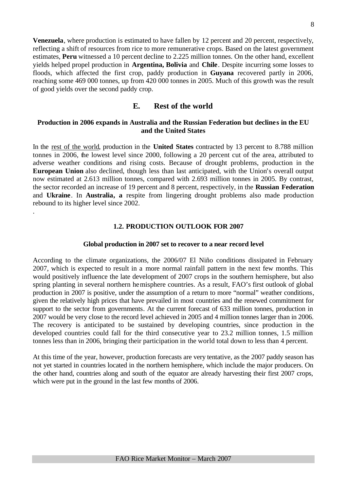**Venezuela**, where production is estimated to have fallen by 12 percent and 20 percent, respectively, reflecting a shift of resources from rice to more remunerative crops. Based on the latest government estimates, **Peru** witnessed a 10 percent decline to 2.225 million tonnes. On the other hand, excellent yields helped propel production in **Argentina, Bolivia** and **Chile**. Despite incurring some losses to floods, which affected the first crop, paddy production in **Guyana** recovered partly in 2006, reaching some 469 000 tonnes, up from 420 000 tonnes in 2005. Much of this growth was the result of good yields over the second paddy crop.

## **E. Rest of the world**

#### **Production in 2006 expands in Australia and the Russian Federation but declines in the EU and the United States**

In the rest of the world, production in the **United States** contracted by 13 percent to 8.788 million tonnes in 2006, the lowest level since 2000, following a 20 percent cut of the area, attributed to adverse weather conditions and rising costs. Because of drought problems, production in the **European Union** also declined, though less than last anticipated, with the Union's overall output now estimated at 2.613 million tonnes, compared with 2.693 million tonnes in 2005. By contrast, the sector recorded an increase of 19 percent and 8 percent, respectively, in the **Russian Federation** and **Ukraine**. In **Australia, a** respite from lingering drought problems also made production rebound to its higher level since 2002.

.

#### **1.2. PRODUCTION OUTLOOK FOR 2007**

#### **Global production in 2007 set to recover to a near record level**

According to the climate organizations, the 2006/07 El Niño conditions dissipated in February 2007, which is expected to result in a more normal rainfall pattern in the next few months. This would positively influence the late development of 2007 crops in the southern hemisphere, but also spring planting in several northern hemisphere countries. As a result, FAO's first outlook of global production in 2007 is positive, under the assumption of a return to more "normal" weather conditions, given the relatively high prices that have prevailed in most countries and the renewed commitment for support to the sector from governments. At the current forecast of 633 million tonnes, production in 2007 would be very close to the record level achieved in 2005 and 4 million tonnes larger than in 2006. The recovery is anticipated to be sustained by developing countries, since production in the developed countries could fall for the third consecutive year to 23.2 million tonnes, 1.5 million tonnes less than in 2006, bringing their participation in the world total down to less than 4 percent.

At this time of the year, however, production forecasts are very tentative, as the 2007 paddy season has not yet started in countries located in the northern hemisphere, which include the major producers. On the other hand, countries along and south of the equator are already harvesting their first 2007 crops, which were put in the ground in the last few months of 2006.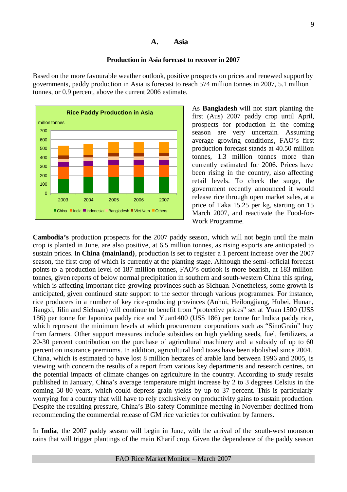## **A. Asia**

#### **Production in Asia forecast to recover in 2007**

Based on the more favourable weather outlook, positive prospects on prices and renewed support by governments, paddy production in Asia is forecast to reach 574 million tonnes in 2007, 5.1 million tonnes, or 0.9 percent, above the current 2006 estimate.



As **Bangladesh** will not start planting the first (Aus) 2007 paddy crop until April, prospects for production in the coming season are very uncertain. Assuming average growing conditions, FAO's first production forecast stands at 40.50 million tonnes, 1.3 million tonnes more than currently estimated for 2006. Prices have been rising in the country, also affecting retail levels. To check the surge, the government recently announced it would release rice through open market sales, at a price of Taka 15.25 per kg, starting on 15 March 2007, and reactivate the Food-for-Work Programme.

**Cambodia's** production prospects for the 2007 paddy season, which will not begin until the main crop is planted in June, are also positive, at 6.5 million tonnes, as rising exports are anticipated to sustain prices. In **China (mainland)**, production is set to register a 1 percent increase over the 2007 season, the first crop of which is currently at the planting stage. Although the semi-official forecast points to a production level of 187 million tonnes, FAO's outlook is more bearish, at 183 million tonnes, given reports of below normal precipitation in southern and south-western China this spring, which is affecting important rice-growing provinces such as Sichuan. Nonetheless, some growth is anticipated, given continued state support to the sector through various programmes. For instance, rice producers in a number of key rice-producing provinces (Anhui, Heilongjiang, Hubei, Hunan, Jiangxi, Jilin and Sichuan) will continue to benefit from "protective prices" set at Yuan 1500 (US\$ 186) per tonne for Japonica paddy rice and Yuan1400 (US\$ 186) per tonne for Indica paddy rice, which represent the minimum levels at which procurement corporations such as "SinoGrain" buy from farmers. Other support measures include subsidies on high yielding seeds, fuel, fertilizers, a 20-30 percent contribution on the purchase of agricultural machinery and a subsidy of up to 60 percent on insurance premiums. In addition, agricultural land taxes have been abolished since 2004. China, which is estimated to have lost 8 million hectares of arable land between 1996 and 2005, is viewing with concern the results of a report from various key departments and research centres, on the potential impacts of climate changes on agriculture in the country. According to study results published in January, China's average temperature might increase by 2 to 3 degrees Celsius in the coming 50-80 years, which could depress grain yields by up to 37 percent. This is particularly worrying for a country that will have to rely exclusively on productivity gains to sustain production. Despite the resulting pressure, China's Bio-safety Committee meeting in November declined from recommending the commercial release of GM rice varieties for cultivation by farmers.

In **India**, the 2007 paddy season will begin in June, with the arrival of the south-west monsoon rains that will trigger plantings of the main Kharif crop. Given the dependence of the paddy season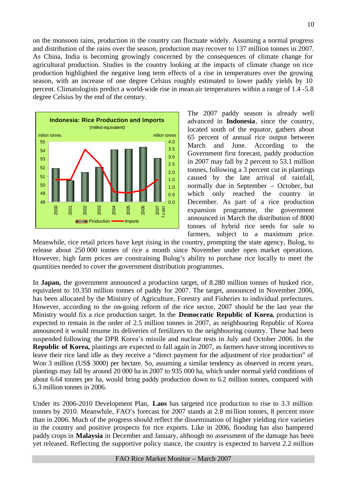on the monsoon rains, production in the country can fluctuate widely. Assuming a normal progress and distribution of the rains over the season, production may recover to 137 million tonnes in 2007. As China, India is becoming growingly concerned by the consequences of climate change for agricultural production. Studies in the country looking at the impacts of climate change on rice production highlighted the negative long term effects of a rise in temperatures over the growing season, with an increase of one degree Celsius roughly estimated to lower paddy yields by 10 percent. Climatologists predict a world-wide rise in mean air temperatures within a range of 1.4 -5.8 degree Celsius by the end of the century.



The 2007 paddy season is already well advanced in **Indonesia**, since the country, located south of the equator, gathers about 65 percent of annual rice output between March and June. According to the Government first forecast, paddy production in 2007 may fall by 2 percent to 53.1 million tonnes, following a 3 percent cut in plantings caused by the late arrival of rainfall, normally due in September – October, but which only reached the country in December. As part of a rice production expansion programme, the government announced in March the distribution of 8000 tonnes of hybrid rice seeds for sale to farmers, subject to a maximum price.

Meanwhile, rice retail prices have kept rising in the country, prompting the state agency, Bulog, to release about 250 000 tonnes of rice a month since November under open market operations. However, high farm prices are constraining Bulog's ability to purchase rice locally to meet the quantities needed to cover the government distribution programmes.

In **Japan,** the government announced a production target, of 8.280 million tonnes of husked rice, equivalent to 10.350 million tonnes of paddy for 2007. The target, announced in November 2006, has been allocated by the Ministry of Agriculture, Forestry and Fisheries to individual prefectures. However, according to the on-going reform of the rice sector, 2007 should be the last year the Ministry would fix a rice production target. In the **Democratic Republic of Korea**, production is expected to remain in the order of 2.5 million tonnes in 2007, as neighbouring Republic of Korea announced it would resume its deliveries of fertilizers to the neighbouring country. These had been suspended following the DPR Korea's missile and nuclear tests in July and October 2006. In the **Republic of Korea,** plantings are expected to fall again in 2007, as farmers have strong incentives to leave their rice land idle as they receive a "direct payment for the adjustment of rice production" of Won 3 million (US\$ 3000) per hectare. So, assuming a similar tendency as observed in recent years, plantings may fall by around 20 000 ha in 2007 to 935 000 ha, which under normal yield conditions of about 6.64 tonnes per ha, would bring paddy production down to 6.2 million tonnes, compared with 6.3 million tonnes in 2006.

Under its 2006-2010 Development Plan, **Laos** has targeted rice production to rise to 3.3 million tonnes by 2010. Meanwhile, FAO's forecast for 2007 stands at 2.8 million tonnes, 8 percent more than in 2006. Much of the progress should reflect the dissemination of higher yielding rice varieties in the country and positive prospects for rice exports. Like in 2006, flooding has also hampered paddy crops in **Malaysia** in December and January, although no assessment of the damage has been yet released. Reflecting the supportive policy stance, the country is expected to harvest 2.2 million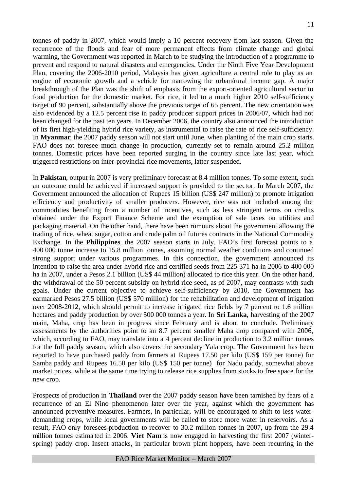tonnes of paddy in 2007, which would imply a 10 percent recovery from last season. Given the recurrence of the floods and fear of more permanent effects from climate change and global warming, the Government was reported in March to be studying the introduction of a programme to prevent and respond to natural disasters and emergencies. Under the Ninth Five Year Development Plan, covering the 2006-2010 period, Malaysia has given agriculture a central role to play as an engine of economic growth and a vehicle for narrowing the urban/rural income gap. A major breakthrough of the Plan was the shift of emphasis from the export-oriented agricultural sector to food production for the domestic market. For rice, it led to a much higher 2010 self-sufficiency target of 90 percent, substantially above the previous target of 65 percent. The new orientation was also evidenced by a 12.5 percent rise in paddy producer support prices in 2006/07, which had not been changed for the past ten years. In December 2006, the country also announced the introduction of its first high-yielding hybrid rice variety, as instrumental to raise the rate of rice self-sufficiency. In **Myanmar**, the 2007 paddy season will not start until June, when planting of the main crop starts. FAO does not foresee much change in production, currently set to remain around 25.2 million tonnes. Domestic prices have been reported surging in the country since late last year, which triggered restrictions on inter-provincial rice movements, latter suspended.

In **Pakistan**, output in 2007 is very preliminary forecast at 8.4 million tonnes. To some extent, such an outcome could be achieved if increased support is provided to the sector. In March 2007, the Government announced the allocation of Rupees 15 billion (US\$ 247 million) to promote irrigation efficiency and productivity of smaller producers. However, rice was not included among the commodities benefiting from a number of incentives, such as less stringent terms on credits obtained under the Export Finance Scheme and the exemption of sale taxes on utilities and packaging material. On the other hand, there have been rumours about the government allowing the trading of rice, wheat sugar, cotton and crude palm oil futures contracts in the National Commodity Exchange. In the **Philippines**, the 2007 season starts in July. FAO's first forecast points to a 400 000 tonne increase to 15.8 million tonnes, assuming normal weather conditions and continued strong support under various programmes. In this connection, the government announced its intention to raise the area under hybrid rice and certified seeds from 225 371 ha in 2006 to 400 000 ha in 2007, under a Pesos 2.1 billion (US\$ 44 million) allocated to rice this year. On the other hand, the withdrawal of the 50 percent subsidy on hybrid rice seed, as of 2007, may contrasts with such goals. Under the current objective to achieve self-sufficiency by 2010, the Government has earmarked Pesos 27.5 billion (US\$ 570 million) for the rehabilitation and development of irrigation over 2008-2012, which should permit to increase irrigated rice fields by 7 percent to 1.6 million hectares and paddy production by over 500 000 tonnes a year. In **Sri Lanka,** harvesting of the 2007 main, Maha, crop has been in progress since February and is about to conclude. Preliminary assessments by the authorities point to an 8.7 percent smaller Maha crop compared with 2006, which, according to FAO, may translate into a 4 percent decline in production to 3.2 million tonnes for the full paddy season, which also covers the secondary Yala crop. The Government has been reported to have purchased paddy from farmers at Rupees 17.50 per kilo (US\$ 159 per tonne) for Samba paddy and Rupees 16.50 per kilo (US\$ 150 per tonne) for Nadu paddy, somewhat above market prices, while at the same time trying to release rice supplies from stocks to free space for the new crop.

Prospects of production in **Thailand** over the 2007 paddy season have been tarnished by fears of a recurrence of an El Nino phenomenon later over the year, against which the government has announced preventive measures. Farmers, in particular, will be encouraged to shift to less waterdemanding crops, while local governments will be called to store more water in reservoirs. As a result, FAO only foresees production to recover to 30.2 million tonnes in 2007, up from the 29.4 million tonnes estima ted in 2006. **Viet Nam** is now engaged in harvesting the first 2007 (winterspring) paddy crop. Insect attacks, in particular brown plant hoppers, have been recurring in the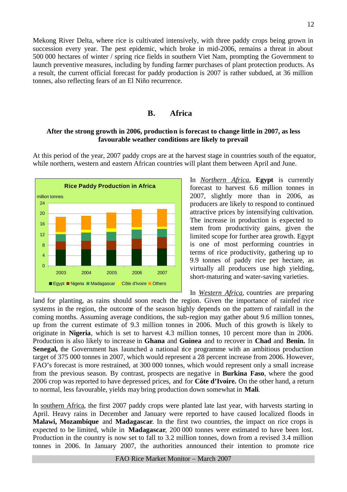Mekong River Delta, where rice is cultivated intensively, with three paddy crops being grown in succession every year. The pest epidemic, which broke in mid-2006, remains a threat in about 500 000 hectares of winter / spring rice fields in southern Viet Nam, prompting the Government to launch preventive measures, including by funding farmer purchases of plant protection products. As a result, the current official forecast for paddy production is 2007 is rather subdued, at 36 million tonnes, also reflecting fears of an El Niño recurrence.

#### **B. Africa**

#### **After the strong growth in 2006, production is forecast to change little in 2007, as less favourable weather conditions are likely to prevail**

**Rice Paddy Production in Africa**  $\overline{0}$ 4 8 12 16 20 24 2003 2004 2005 2006 2007 Egypt Nigeria Madagascar Côte d'Ivoire Others million tonnes

At this period of the year, 2007 paddy crops are at the harvest stage in countries south of the equator, while northern, western and eastern African countries will plant them between April and June.

> In *Northern Africa*, **Egypt** is currently forecast to harvest 6.6 million tonnes in 2007, slightly more than in 2006, as producers are likely to respond to continued attractive prices by intensifying cultivation. The increase in production is expected to stem from productivity gains, given the limited scope for further area growth. Egypt is one of most performing countries in terms of rice productivity, gathering up to 9.9 tonnes of paddy rice per hectare, as virtually all producers use high yielding, short-maturing and water-saving varieties.

In *Western Africa*, countries are preparing land for planting, as rains should soon reach the region. Given the importance of rainfed rice systems in the region, the outcome of the season highly depends on the pattern of rainfall in the coming months. Assuming average conditions, the sub-region may gather about 9.6 million tonnes, up from the current estimate of 9.3 million tonnes in 2006. Much of this growth is likely to originate in **Nigeria**, which is set to harvest 4.3 million tonnes, 10 percent more than in 2006. Production is also likely to increase in **Ghana** and **Guinea** and to recover in **Chad** and **Benin.** In **Senegal,** the Government has launched a national rice programme with an ambitious production target of 375 000 tonnes in 2007, which would represent a 28 percent increase from 2006. However, FAO's forecast is more restrained, at 300 000 tonnes, which would represent only a small increase from the previous season. By contrast, prospects are negative in **Burkina Faso**, where the good 2006 crop was reported to have depressed prices, and for **Côte d'Ivoire.** On the other hand, a return to normal, less favourable, yields may bring production down somewhat in **Mali**.

In southern Africa, the first 2007 paddy crops were planted late last year, with harvests starting in April. Heavy rains in December and January were reported to have caused localized floods in **Malawi, Mozambique** and **Madagascar**. In the first two countries, the impact on rice crops is expected to be limited, while in **Madagascar**, 200 000 tonnes were estimated to have been lost. Production in the country is now set to fall to 3.2 million tonnes, down from a revised 3.4 million tonnes in 2006. In January 2007, the authorities announced their intention to promote rice

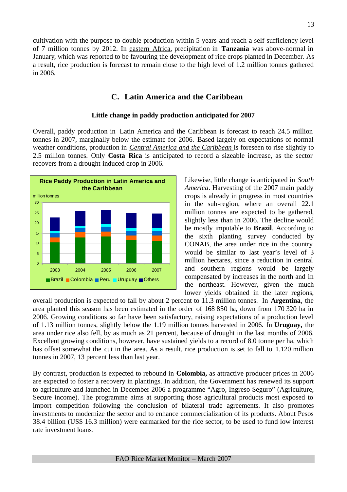cultivation with the purpose to double production within 5 years and reach a self-sufficiency level of 7 million tonnes by 2012. In eastern Africa, precipitation in **Tanzania** was above-normal in January, which was reported to be favouring the development of rice crops planted in December. As a result, rice production is forecast to remain close to the high level of 1.2 million tonnes gathered in 2006.

# **C. Latin America and the Caribbean**

#### **Little change in paddy production anticipated for 2007**

Overall, paddy production in Latin America and the Caribbean is forecast to reach 24.5 million tonnes in 2007, marginally below the estimate for 2006. Based largely on expectations of normal weather conditions, production in *Central America and the Caribbean* is foreseen to rise slightly to 2.5 million tonnes. Only **Costa Rica** is anticipated to record a sizeable increase, as the sector recovers from a drought-induced drop in 2006.



Likewise, little change is anticipated in *South America*. Harvesting of the 2007 main paddy crops is already in progress in most countries in the sub-region, where an overall 22.1 million tonnes are expected to be gathered, slightly less than in 2006. The decline would be mostly imputable to **Brazil**. According to the sixth planting survey conducted by CONAB, the area under rice in the country would be similar to last year's level of 3 million hectares, since a reduction in central and southern regions would be largely compensated by increases in the north and in the northeast. However, given the much lower yields obtained in the later regions,

overall production is expected to fall by about 2 percent to 11.3 million tonnes. In **Argentina**, the area planted this season has been estimated in the order of 168 850 ha, down from 170 320 ha in 2006. Growing conditions so far have been satisfactory, raising expectations of a production level of 1.13 million tonnes, slightly below the 1.19 million tonnes harvested in 2006. In **Uruguay,** the area under rice also fell, by as much as 21 percent, because of drought in the last months of 2006. Excellent growing conditions, however, have sustained yields to a record of 8.0 tonne per ha, which has offset somewhat the cut in the area. As a result, rice production is set to fall to 1.120 million tonnes in 2007, 13 percent less than last year.

By contrast, production is expected to rebound in **Colombia,** as attractive producer prices in 2006 are expected to foster a recovery in plantings. In addition, the Government has renewed its support to agriculture and launched in December 2006 a programme "Agro, Ingreso Seguro" (Agriculture, Secure income). The programme aims at supporting those agricultural products most exposed to import competition following the conclusion of bilateral trade agreements. It also promotes investments to modernize the sector and to enhance commercialization of its products. About Pesos 38.4 billion (US\$ 16.3 million) were earmarked for the rice sector, to be used to fund low interest rate investment loans.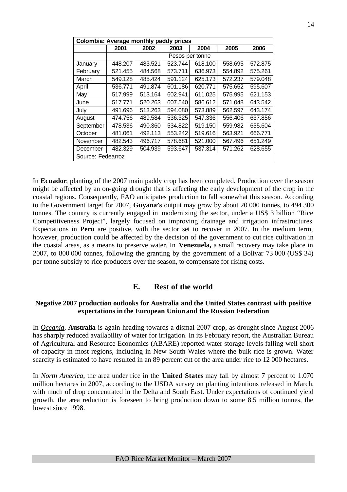| Colombia: Average monthly paddy prices |         |         |                 |         |         |         |
|----------------------------------------|---------|---------|-----------------|---------|---------|---------|
|                                        | 2001    | 2002    | 2003            | 2004    | 2005    | 2006    |
|                                        |         |         | Pesos per tonne |         |         |         |
| January                                | 448.207 | 483.521 | 523.744         | 618.100 | 558.695 | 572.875 |
| February                               | 521.455 | 484.568 | 573.711         | 636.973 | 554.892 | 575.261 |
| March                                  | 549.128 | 485.424 | 591.124         | 625.173 | 572.237 | 579.048 |
| April                                  | 536.771 | 491.874 | 601.186         | 620.771 | 575.652 | 595.607 |
| May                                    | 517.999 | 513.164 | 602.941         | 611.025 | 575.995 | 621.153 |
| June                                   | 517.771 | 520.263 | 607.540         | 586.612 | 571.048 | 643.542 |
| July                                   | 491.696 | 513.263 | 594.080         | 573.889 | 562.597 | 643.174 |
| August                                 | 474.756 | 489.584 | 536.325         | 547.336 | 556.406 | 637.856 |
| September                              | 478.536 | 490.360 | 534.822         | 519.150 | 559.982 | 655.604 |
| October                                | 481.061 | 492.113 | 553.242         | 519.616 | 563.921 | 666.771 |
| November                               | 482.543 | 496.717 | 578.681         | 521.000 | 567.496 | 651.249 |
| December                               | 482.329 | 504.939 | 593.647         | 537.314 | 571.262 | 628.655 |
| Source: Fedearroz                      |         |         |                 |         |         |         |

In **Ecuador**, planting of the 2007 main paddy crop has been completed. Production over the season might be affected by an on-going drought that is affecting the early development of the crop in the coastal regions. Consequently, FAO anticipates production to fall somewhat this season. According to the Government target for 2007, **Guyana's** output may grow by about 20 000 tonnes, to 494 300 tonnes. The country is currently engaged in modernizing the sector, under a US\$ 3 billion "Rice Competitiveness Project", largely focused on improving drainage and irrigation infrastructures. Expectations in **Peru** are positive, with the sector set to recover in 2007. In the medium term, however, production could be affected by the decision of the government to cut rice cultivation in the coastal areas, as a means to preserve water. In **Venezuela,** a small recovery may take place in 2007, to 800 000 tonnes, following the granting by the government of a Bolivar 73 000 (US\$ 34) per tonne subsidy to rice producers over the season, to compensate for rising costs.

#### **E. Rest of the world**

#### **Negative 2007 production outlooks for Australia and the United States contrast with positive expectations in the European Union and the Russian Federation**

In *Oceania*, **Australia** is again heading towards a dismal 2007 crop, as drought since August 2006 has sharply reduced availability of water for irrigation. In its February report, the Australian Bureau of Agricultural and Resource Economics (ABARE) reported water storage levels falling well short of capacity in most regions, including in New South Wales where the bulk rice is grown. Water scarcity is estimated to have resulted in an 89 percent cut of the area under rice to 12 000 hectares.

In *North America*, the area under rice in the **United States** may fall by almost 7 percent to 1.070 million hectares in 2007, according to the USDA survey on planting intentions released in March, with much of drop concentrated in the Delta and South East. Under expectations of continued yield growth, the area reduction is foreseen to bring production down to some 8.5 million tonnes, the lowest since 1998.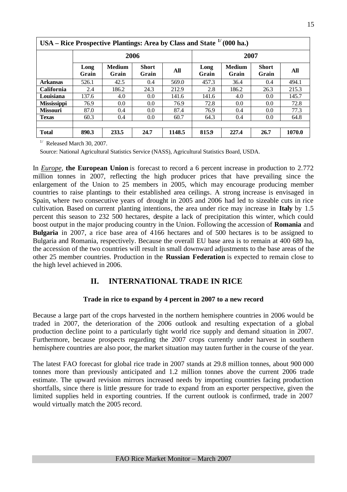| USA – KICE Prospective Planuligs: Area by Class and State<br>(VVV IIa.) |               |                        |                       |        |               |                        |                       |        |  |  |
|-------------------------------------------------------------------------|---------------|------------------------|-----------------------|--------|---------------|------------------------|-----------------------|--------|--|--|
|                                                                         |               | 2006                   |                       |        |               | 2007                   |                       |        |  |  |
|                                                                         | Long<br>Grain | <b>Medium</b><br>Grain | <b>Short</b><br>Grain | All    | Long<br>Grain | <b>Medium</b><br>Grain | <b>Short</b><br>Grain | All    |  |  |
| <b>Arkansas</b>                                                         | 526.1         | 42.5                   | 0.4                   | 569.0  | 457.3         | 36.4                   | 0.4                   | 494.1  |  |  |
| <b>California</b>                                                       | 2.4           | 186.2                  | 24.3                  | 212.9  | 2.8           | 186.2                  | 26.3                  | 215.3  |  |  |
| Louisiana                                                               | 137.6         | 4.0                    | $0.0\,$               | 141.6  | 141.6         | 4.0                    | 0.0                   | 145.7  |  |  |
| <b>Mississippi</b>                                                      | 76.9          | 0.0                    | $0.0\,$               | 76.9   | 72.8          | 0.0                    | 0.0                   | 72.8   |  |  |
| <b>Missouri</b>                                                         | 87.0          | 0.4                    | $0.0\,$               | 87.4   | 76.9          | 0.4                    | 0.0                   | 77.3   |  |  |
| <b>Texas</b>                                                            | 60.3          | 0.4                    | 0.0                   | 60.7   | 64.3          | 0.4                    | 0.0                   | 64.8   |  |  |
|                                                                         |               |                        |                       |        |               |                        |                       |        |  |  |
| <b>Total</b>                                                            | 890.3         | 233.5                  | 24.7                  | 1148.5 | 815.9         | 227.4                  | 26.7                  | 1070.0 |  |  |

# **USA – Rice Prospective Plantings: Area by Class and State 1/ (000 ha.)**

 $1/$  Released March 30, 2007.

Source: National Agricultural Statistics Service (NASS), Agricultural Statistics Board, USDA.

In *Europe*, **the European Union** is forecast to record a 6 percent increase in production to 2.772 million tonnes in 2007, reflecting the high producer prices that have prevailing since the enlargement of the Union to 25 members in 2005, which may encourage producing member countries to raise plantings to their established area ceilings. A strong increase is envisaged in Spain, where two consecutive years of drought in 2005 and 2006 had led to sizeable cuts in rice cultivation. Based on current planting intentions, the area under rice may increase in **Italy** by 1.5 percent this season to 232 500 hectares, despite a lack of precipitation this winter, which could boost output in the major producing country in the Union. Following the accession of **Romania** and **Bulgaria** in 2007, a rice base area of 4166 hectares and of 500 hectares is to be assigned to Bulgaria and Romania, respectively. Because the overall EU base area is to remain at 400 689 ha, the accession of the two countries will result in small downward adjustments to the base areas of the other 25 member countries. Production in the **Russian Federation** is expected to remain close to the high level achieved in 2006.

## **II. INTERNATIONAL TRADE IN RICE**

#### **Trade in rice to expand by 4 percent in 2007 to a new record**

Because a large part of the crops harvested in the northern hemisphere countries in 2006 would be traded in 2007, the deterioration of the 2006 outlook and resulting expectation of a global production decline point to a particularly tight world rice supply and demand situation in 2007. Furthermore, because prospects regarding the 2007 crops currently under harvest in southern hemisphere countries are also poor, the market situation may tauten further in the course of the year.

The latest FAO forecast for global rice trade in 2007 stands at 29.8 million tonnes, about 900 000 tonnes more than previously anticipated and 1.2 million tonnes above the current 2006 trade estimate. The upward revision mirrors increased needs by importing countries facing production shortfalls, since there is little pressure for trade to expand from an exporter perspective, given the limited supplies held in exporting countries. If the current outlook is confirmed, trade in 2007 would virtually match the 2005 record.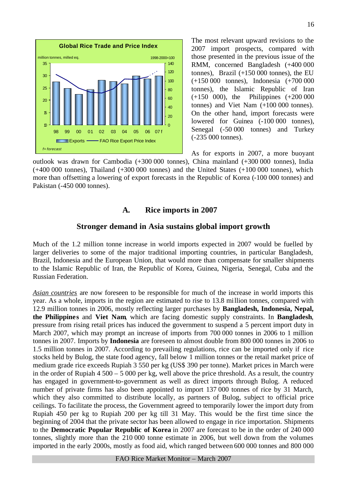

The most relevant upward revisions to the 2007 import prospects, compared with those presented in the previous issue of the RMM, concerned Bangladesh (+400 000 tonnes), Brazil (+150 000 tonnes), the EU (+150 000 tonnes), Indonesia (+700 000 tonnes), the Islamic Republic of Iran (+150 000), the Philippines (+200 000 tonnes) and Viet Nam (+100 000 tonnes). On the other hand, import forecasts were lowered for Guinea  $(-100000$  tonnes), Senegal (-50 000 tonnes) and Turkey (-235 000 tonnes).

As for exports in 2007, a more buoyant outlook was drawn for Cambodia (+300 000 tonnes), China mainland (+300 000 tonnes), India  $(+400\,000$  tonnes), Thailand  $(+300\,000$  tonnes) and the United States  $(+100\,000$  tonnes), which more than offsetting a lowering of export forecasts in the Republic of Korea (-100 000 tonnes) and Pakistan (-450 000 tonnes).

#### **A. Rice imports in 2007**

#### **Stronger demand in Asia sustains global import growth**

Much of the 1.2 million tonne increase in world imports expected in 2007 would be fuelled by larger deliveries to some of the major traditional importing countries, in particular Bangladesh, Brazil, Indonesia and the European Union, that would more than compensate for smaller shipments to the Islamic Republic of Iran, the Republic of Korea, Guinea, Nigeria, Senegal, Cuba and the Russian Federation.

*Asian countries* are now foreseen to be responsible for much of the increase in world imports this year. As a whole, imports in the region are estimated to rise to 13.8 million tonnes, compared with 12.9 million tonnes in 2006, mostly reflecting larger purchases by **Bangladesh, Indonesia, Nepal, the Philippines** and **Viet Nam**, which are facing domestic supply constraints. In **Bangladesh**, pressure from rising retail prices has induced the government to suspend a 5 percent import duty in March 2007, which may prompt an increase of imports from 700 000 tonnes in 2006 to 1 million tonnes in 2007. Imports by **Indonesia** are foreseen to almost double from 800 000 tonnes in 2006 to 1.5 million tonnes in 2007. According to prevailing regulations, rice can be imported only if rice stocks held by Bulog, the state food agency, fall below 1 million tonnes or the retail market price of medium grade rice exceeds Rupiah 3 550 per kg (US\$ 390 per tonne). Market prices in March were in the order of Rupiah 4 500 – 5 000 per kg, well above the price threshold. As a result, the country has engaged in government-to-government as well as direct imports through Bulog. A reduced number of private firms has also been appointed to import 137 000 tonnes of rice by 31 March, which they also committed to distribute locally, as partners of Bulog, subject to official price ceilings. To facilitate the process, the Government agreed to temporarily lower the import duty from Rupiah 450 per kg to Rupiah 200 per kg till 31 May. This would be the first time since the beginning of 2004 that the private sector has been allowed to engage in rice importation. Shipments to the **Democratic Popular Republic of Korea** in 2007 are forecast to be in the order of 240 000 tonnes, slightly more than the 210 000 tonne estimate in 2006, but well down from the volumes imported in the early 2000s, mostly as food aid, which ranged between 600 000 tonnes and 800 000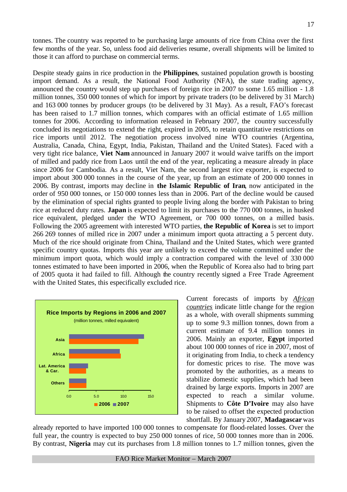tonnes. The country was reported to be purchasing large amounts of rice from China over the first few months of the year. So, unless food aid deliveries resume, overall shipments will be limited to those it can afford to purchase on commercial terms.

Despite steady gains in rice production in the **Philippines**, sustained population growth is boosting import demand. As a result, the National Food Authority (NFA), the state trading agency, announced the country would step up purchases of foreign rice in 2007 to some 1.65 million - 1.8 million tonnes, 350 000 tonnes of which for import by private traders (to be delivered by 31 March) and 163 000 tonnes by producer groups (to be delivered by 31 May). As a result, FAO's forecast has been raised to 1.7 million tonnes, which compares with an official estimate of 1.65 million tonnes for 2006. According to information released in February 2007, the country successfully concluded its negotiations to extend the right, expired in 2005, to retain quantitative restrictions on rice imports until 2012. The negotiation process involved nine WTO countries (Argentina, Australia, Canada, China, Egypt, India, Pakistan, Thailand and the United States). Faced with a very tight rice balance, **Viet Nam** announced in January 2007 it would waive tariffs on the import of milled and paddy rice from Laos until the end of the year, replicating a measure already in place since 2006 for Cambodia. As a result, Viet Nam, the second largest rice exporter, is expected to import about 300 000 tonnes in the course of the year, up from an estimate of 200 000 tonnes in 2006. By contrast, imports may decline in **the Islamic Republic of Iran**, now anticipated in the order of 950 000 tonnes, or 150 000 tonnes less than in 2006. Part of the decline would be caused by the elimination of special rights granted to people living along the border with Pakistan to bring rice at reduced duty rates. **Japan** is expected to limit its purchases to the 770 000 tonnes, in husked rice equivalent, pledged under the WTO Agreement, or 700 000 tonnes, on a milled basis. Following the 2005 agreement with interested WTO parties, **the Republic of Korea** is set to import 266 269 tonnes of milled rice in 2007 under a minimum import quota attracting a 5 percent duty. Much of the rice should originate from China, Thailand and the United States, which were granted specific country quotas. Imports this year are unlikely to exceed the volume committed under the minimum import quota, which would imply a contraction compared with the level of 330 000 tonnes estimated to have been imported in 2006, when the Republic of Korea also had to bring part of 2005 quota it had failed to fill. Although the country recently signed a Free Trade Agreement with the United States, this especifically excluded rice.



Current forecasts of imports by *African countries* indicate little change for the region as a whole, with overall shipments summing up to some 9.3 million tonnes, down from a current estimate of 9.4 million tonnes in 2006. Mainly an exporter, **Egypt** imported about 100 000 tonnes of rice in 2007, most of it originating from India, to check a tendency for domestic prices to rise. The move was promoted by the authorities, as a means to stabilize domestic supplies, which had been drained by large exports. Imports in 2007 are expected to reach a similar volume. Shipments to **Côte D'Ivoire** may also have to be raised to offset the expected production shortfall. By January 2007, **Madagascar** was

already reported to have imported 100 000 tonnes to compensate for flood-related losses. Over the full year, the country is expected to buy 250 000 tonnes of rice, 50 000 tonnes more than in 2006. By contrast, **Nigeria** may cut its purchases from 1.8 million tonnes to 1.7 million tonnes, given the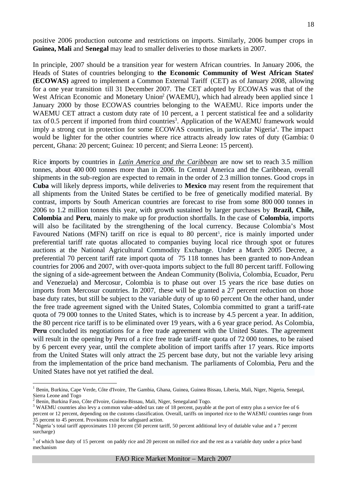positive 2006 production outcome and restrictions on imports. Similarly, 2006 bumper crops in **Guinea, Mali** and **Senegal** may lead to smaller deliveries to those markets in 2007.

In principle, 2007 should be a transition year for western African countries. In January 2006, the Heads of States of countries belonging to **the Economic Community of West African States<sup>1</sup> (ECOWAS)** agreed to implement a Common External Tariff (CET) as of January 2008, allowing for a one year transition till 31 December 2007. The CET adopted by ECOWAS was that of the West African Economic and Monetary Union<sup>2</sup> (WAEMU), which had already been applied since 1 January 2000 by those ECOWAS countries belonging to the WAEMU. Rice imports under the WAEMU CET attract a custom duty rate of 10 percent, a 1 percent statistical fee and a solidarity tax of 0.5 percent if imported from third countries<sup>3</sup>. Application of the WAEMU framework would imply a strong cut in protection for some ECOWAS countries, in particular Nigeria<sup>4</sup>. The impact would be lighter for the other countries where rice attracts already low rates of duty (Gambia: 0 percent, Ghana: 20 percent; Guinea: 10 percent; and Sierra Leone: 15 percent).

Rice imports by countries in *Latin America and the Caribbean* are now set to reach 3.5 million tonnes, about 400 000 tonnes more than in 2006. In Central America and the Caribbean, overall shipments in the sub-region are expected to remain in the order of 2.3 million tonnes. Good crops in **Cuba** will likely depress imports, while deliveries to **Mexico** may resent from the requirement that all shipments from the United States be certified to be free of genetically modified material. By contrast, imports by South American countries are forecast to rise from some 800 000 tonnes in 2006 to 1.2 million tonnes this year, with growth sustained by larger purchases by **Brazil, Chile, Colombia** and **Peru**, mainly to make up for production shortfalls. In the case of **Colombia**, imports will also be facilitated by the strengthening of the local currency. Because Colombia's Most Favoured Nations (MFN) tariff on rice is equal to 80 percent<sup>5</sup>, rice is mainly imported under preferential tariff rate quotas allocated to companies buying local rice through spot or futures auctions at the National Agricultural Commodity Exchange. Under a March 2005 Decree, a preferential 70 percent tariff rate import quota of 75 118 tonnes has been granted to non-Andean countries for 2006 and 2007, with over-quota imports subject to the full 80 percent tariff. Following the signing of a side-agreement between the Andean Community (Bolivia, Colombia, Ecuador, Peru and Venezuela) and Mercosur, Colombia is to phase out over 15 years the rice base duties on imports from Mercosur countries. In 2007, these will be granted a 27 percent reduction on those base duty rates, but still be subject to the variable duty of up to 60 percent On the other hand, under the free trade agreement signed with the United States, Colombia committed to grant a tariff-rate quota of 79 000 tonnes to the United States, which is to increase by 4.5 percent a year. In addition, the 80 percent rice tariff is to be eliminated over 19 years, with a 6 year grace period. As Colombia, **Peru** concluded its negotiations for a free trade agreement with the United States. The agreement will result in the opening by Peru of a rice free trade tariff-rate quota of 72 000 tonnes, to be raised by 6 percent every year, until the complete abolition of import tariffs after 17 years. Rice imports from the United States will only attract the 25 percent base duty, but not the variable levy arising from the implementation of the price band mechanism. The parliaments of Colombia, Peru and the United States have not yet ratified the deal.

 $\overline{a}$ 

<sup>&</sup>lt;sup>1</sup> Benin, Burkina, Cape Verde, Côte d'Ivoire, The Gambia, Ghana, Guinea, Guinea Bissau, Liberia, Mali, Niger, Nigeria, Senegal, Sierra Leone and Togo

<sup>2</sup> Benin, Burkina Faso, Côte d'Ivoire, Guinea-Bissau, Mali, Niger, Senegal and Togo.

<sup>&</sup>lt;sup>3</sup> WAEMU countries also levy a common value-added tax rate of 18 percent, payable at the port of entry plus a service fee of 6 percent or 12 percent, depending on the customs classification. Overall, tariffs on imported rice to the WAEMU countries range from 35 percent to 45 percent. Provisions exist for safeguard action.

 $4 \text{ N}$ igeria's total tariff approximates 110 percent (50 percent tariff, 50 percent additional levy of dutiable value and a 7 percent surcharge)

 $<sup>5</sup>$  of which base duty of 15 percent on paddy rice and 20 percent on milled rice and the rest as a variable duty under a price band</sup> mechanism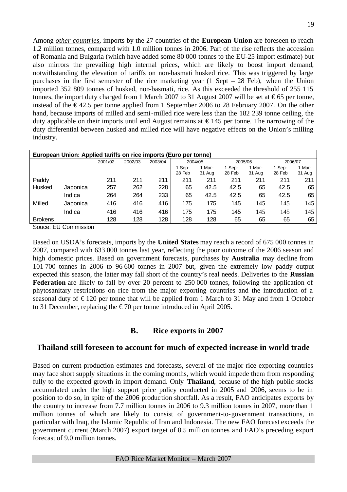Among *other countries*, imports by the 27 countries of the **European Union** are foreseen to reach 1.2 million tonnes, compared with 1.0 million tonnes in 2006. Part of the rise reflects the accession of Romania and Bulgaria (which have added some 80 000 tonnes to the EU-25 import estimate) but also mirrors the prevailing high internal prices, which are likely to boost import demand, notwithstanding the elevation of tariffs on non-basmati husked rice. This was triggered by large purchases in the first semester of the rice marketing year  $(1 \text{ Sept} - 28 \text{ Feb})$ , when the Union imported 352 809 tonnes of husked, non-basmati, rice. As this exceeded the threshold of 255 115 tonnes, the import duty charged from 1 March 2007 to 31 August 2007 will be set at  $\epsilon$ 65 per tonne, instead of the  $\epsilon$ 42.5 per tonne applied from 1 September 2006 to 28 February 2007. On the other hand, because imports of milled and semi-milled rice were less than the 182 239 tonne ceiling, the duty applicable on their imports until end August remains at  $\epsilon$  145 per tonne. The narrowing of the duty differential between husked and milled rice will have negative effects on the Union's milling industry.

|                | European Union: Applied tariffs on rice imports (Euro per tonne) |         |         |         |                |                  |                  |                |                |                  |
|----------------|------------------------------------------------------------------|---------|---------|---------|----------------|------------------|------------------|----------------|----------------|------------------|
|                |                                                                  | 2001/02 | 2002/03 | 2003/04 | 2004/05        |                  | 2005/06          |                | 2006/07        |                  |
|                |                                                                  |         |         |         | Sep-<br>28 Feb | 1 Mar-<br>31 Aug | 1 Sep-<br>28 Feb | Mar-<br>31 Aug | Sep-<br>28 Feb | 1 Mar-<br>31 Aug |
| Paddy          |                                                                  | 211     | 211     | 211     | 211            | 211              | 211              | 211            | 211            | 211              |
|                |                                                                  |         |         |         |                |                  |                  |                |                |                  |
| Husked         | Japonica                                                         | 257     | 262     | 228     | 65             | 42.5             | 42.5             | 65             | 42.5           | 65               |
|                | Indica                                                           | 264     | 264     | 233     | 65             | 42.5             | 42.5             | 65             | 42.5           | 65               |
| Milled         | Japonica                                                         | 416     | 416     | 416     | 175            | 175              | 145              | 145            | 145            | 145              |
|                | Indica                                                           | 416     | 416     | 416     | 175            | 175              | 145              | 145            | 145            | 145              |
| <b>Brokens</b> |                                                                  | 128     | 128     | 128     | 128            | 128              | 65               | 65             | 65             | 65               |

Souce: EU Commission

Based on USDA's forecasts, imports by the **United States** may reach a record of 675 000 tonnes in 2007, compared with 633 000 tonnes last year, reflecting the poor outcome of the 2006 season and high domestic prices. Based on government forecasts, purchases by **Australia** may decline from 101 700 tonnes in 2006 to 96 600 tonnes in 2007 but, given the extremely low paddy output expected this season, the latter may fall short of the country's real needs. Deliveries to the **Russian Federation** are likely to fall by over 20 percent to 250 000 tonnes, following the application of phytosanitary restrictions on rice from the major exporting countries and the introduction of a seasonal duty of  $\epsilon$ 120 per tonne that will be applied from 1 March to 31 May and from 1 October to 31 December, replacing the  $\epsilon$ 70 per tonne introduced in April 2005.

## **B. Rice exports in 2007**

#### **Thailand still foreseen to account for much of expected increase in world trade**

Based on current production estimates and forecasts, several of the major rice exporting countries may face short supply situations in the coming months, which would impede them from responding fully to the expected growth in import demand. Only **Thailand**, because of the high public stocks accumulated under the high support price policy conducted in 2005 and 2006, seems to be in position to do so, in spite of the 2006 production shortfall. As a result, FAO anticipates exports by the country to increase from 7.7 million tonnes in 2006 to 9.3 million tonnes in 2007, more than 1 million tonnes of which are likely to consist of government-to-government transactions, in particular with Iraq, the Islamic Republic of Iran and Indonesia. The new FAO forecast exceeds the government current (March 2007) export target of 8.5 million tonnes and FAO's preceding export forecast of 9.0 million tonnes.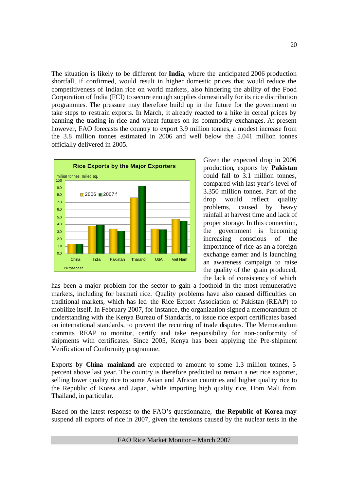The situation is likely to be different for **India**, where the anticipated 2006 production shortfall, if confirmed, would result in higher domestic prices that would reduce the competitiveness of Indian rice on world markets, also hindering the ability of the Food Corporation of India (FCI) to secure enough supplies domestically for its rice distribution programmes. The pressure may therefore build up in the future for the government to take steps to restrain exports. In March, it already reacted to a hike in cereal prices by banning the trading in rice and wheat futures on its commodity exchanges. At present however, FAO forecasts the country to export 3.9 million tonnes, a modest increase from the 3.8 million tonnes estimated in 2006 and well below the 5.041 million tonnes officially delivered in 2005.



Given the expected drop in 2006 production, exports by **Pakistan** could fall to 3.1 million tonnes, compared with last year's level of 3.350 million tonnes. Part of the drop would reflect quality problems, caused by heavy rainfall at harvest time and lack of proper storage. In this connection, the government is becoming increasing conscious of the importance of rice as an a foreign exchange earner and is launching an awareness campaign to raise the quality of the grain produced, the lack of consistency of which

has been a major problem for the sector to gain a foothold in the most remunerative markets, including for basmati rice. Quality problems have also caused difficulties on traditional markets, which has led the Rice Export Association of Pakistan (REAP) to mobilize itself. In February 2007, for instance, the organization signed a memorandum of understanding with the Kenya Bureau of Standards, to issue rice export certificates based on international standards, to prevent the recurring of trade disputes. The Memorandum commits REAP to monitor, certify and take responsibility for non-conformity of shipments with certificates. Since 2005, Kenya has been applying the Pre-shipment Verification of Conformity programme.

Exports by **China mainland** are expected to amount to some 1.3 million tonnes, 5 percent above last year. The country is therefore predicted to remain a net rice exporter, selling lower quality rice to some Asian and African countries and higher quality rice to the Republic of Korea and Japan, while importing high quality rice, Hom Mali from Thailand, in particular.

Based on the latest response to the FAO's questionnaire, **the Republic of Korea** may suspend all exports of rice in 2007, given the tensions caused by the nuclear tests in the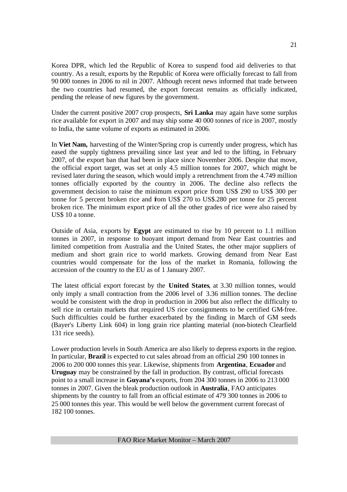Korea DPR, which led the Republic of Korea to suspend food aid deliveries to that country. As a result, exports by the Republic of Korea were officially forecast to fall from 90 000 tonnes in 2006 to nil in 2007. Although recent news informed that trade between the two countries had resumed, the export forecast remains as officially indicated, pending the release of new figures by the government.

Under the current positive 2007 crop prospects, **Sri Lanka** may again have some surplus rice available for export in 2007 and may ship some 40 000 tonnes of rice in 2007, mostly to India, the same volume of exports as estimated in 2006.

In **Viet Nam,** harvesting of the Winter/Spring crop is currently under progress, which has eased the supply tightness prevailing since last year and led to the lifting, in February 2007, of the export ban that had been in place since November 2006. Despite that move, the official export target, was set at only 4.5 million tonnes for 2007, which might be revised later during the season, which would imply a retrenchment from the 4.749 million tonnes officially exported by the country in 2006. The decline also reflects the government decision to raise the minimum export price from US\$ 290 to US\$ 300 per tonne for 5 percent broken rice and from US\$ 270 to US\$.280 per tonne for 25 percent broken rice. The minimum export price of all the other grades of rice were also raised by US\$ 10 a tonne.

Outside of Asia, exports by **Egypt** are estimated to rise by 10 percent to 1.1 million tonnes in 2007, in response to buoyant import demand from Near East countries and limited competition from Australia and the United States, the other major suppliers of medium and short grain rice to world markets. Growing demand from Near East countries would compensate for the loss of the market in Romania, following the accession of the country to the EU as of 1 January 2007.

The latest official export forecast by the **United States**, at 3.30 million tonnes, would only imply a small contraction from the 2006 level of 3.36 million tonnes. The decline would be consistent with the drop in production in 2006 but also reflect the difficulty to sell rice in certain markets that required US rice consignments to be certified GM-free. Such difficulties could be further exacerbated by the finding in March of GM seeds (Bayer's Liberty Link 604) in long grain rice planting material (non-biotech Clearfield 131 rice seeds).

Lower production levels in South America are also likely to depress exports in the region. In particular, **Brazil** is expected to cut sales abroad from an official 290 100 tonnes in 2006 to 200 000 tonnes this year. Likewise, shipments from **Argentina**, **Ecuador** and **Uruguay** may be constrained by the fall in production. By contrast, official forecasts point to a small increase in **Guyana's** exports, from 204 300 tonnes in 2006 to 213 000 tonnes in 2007. Given the bleak production outlook in **Australia**, FAO anticipates shipments by the country to fall from an official estimate of 479 300 tonnes in 2006 to 25 000 tonnes this year. This would be well below the government current forecast of 182 100 tonnes.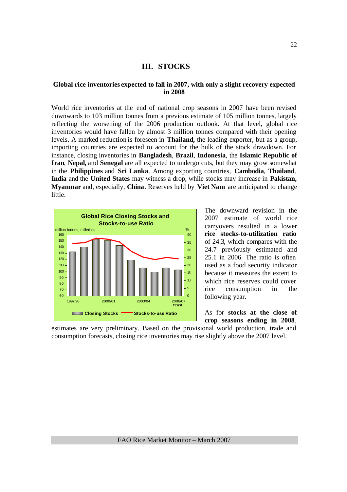#### **III. STOCKS**

#### **Global rice inventories expected to fall in 2007, with only a slight recovery expected in 2008**

World rice inventories at the end of national crop seasons in 2007 have been revised downwards to 103 million tonnes from a previous estimate of 105 million tonnes, largely reflecting the worsening of the 2006 production outlook. At that level, global rice inventories would have fallen by almost 3 million tonnes compared with their opening levels. A marked reduction is foreseen in **Thailand,** the leading exporter, but as a group, importing countries are expected to account for the bulk of the stock drawdown. For instance, closing inventories in **Bangladesh**, **Brazil**, **Indonesia**, the **Islamic Republic of Iran**, **Nepal,** and **Senegal** are all expected to undergo cuts, but they may grow somewhat in the **Philippines** and **Sri Lanka**. Among exporting countries, **Cambodia**, **Thailand**, **India** and the **United States** may witness a drop, while stocks may increase in **Pakistan, Myanmar** and, especially, **China**. Reserves held by **Viet Nam** are anticipated to change little.



The downward revision in the 2007 estimate of world rice carryovers resulted in a lower **rice stocks-to-utilization ratio** of 24.3, which compares with the 24.7 previously estimated and 25.1 in 2006. The ratio is often used as a food security indicator because it measures the extent to which rice reserves could cover rice consumption in the following year.

As for **stocks at the close of crop seasons ending in 2008**,

estimates are very preliminary. Based on the provisional world production, trade and consumption forecasts, closing rice inventories may rise slightly above the 2007 level.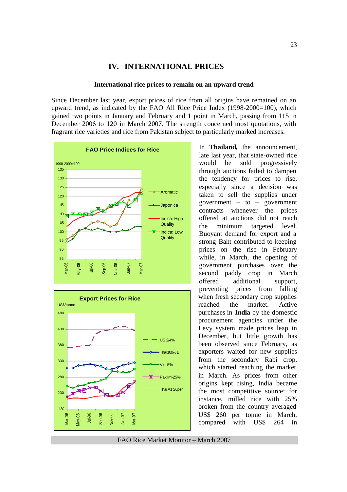#### **IV. INTERNATIONAL PRICES**

#### **International rice prices to remain on an upward trend**

Since December last year, export prices of rice from all origins have remained on an upward trend, as indicated by the FAO All Rice Price Index (1998-2000=100), which gained two points in January and February and 1 point in March, passing from 115 in December 2006 to 120 in March 2007. The strength concerned most quotations, with fragrant rice varieties and rice from Pakistan subject to particularly marked increases.





In **Thailand,** the announcement, late last year, that state-owned rice would be sold progressively through auctions failed to dampen the tendency for prices to rise, especially since a decision was taken to sell the supplies under government  $-$  to  $-$  government contracts whenever the prices offered at auctions did not reach the minimum targeted level. Buoyant demand for export and a strong Baht contributed to keeping prices on the rise in February while, in March, the opening of government purchases over the second paddy crop in March offered additional support, preventing prices from falling when fresh secondary crop supplies reached the market. Active purchases in **India** by the domestic procurement agencies under the Levy system made prices leap in December, but little growth has been observed since February, as exporters waited for new supplies from the secondary Rabi crop, which started reaching the market in March. As prices from other origins kept rising, India became the most competitive source: for instance, milled rice with 25% broken from the country averaged US\$ 260 per tonne in March, compared with US\$ 264 in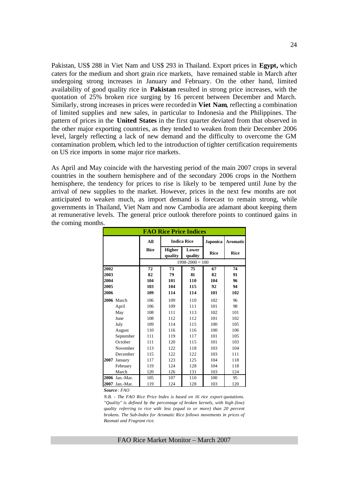Pakistan, US\$ 288 in Viet Nam and US\$ 293 in Thailand. Export prices in **Egypt,** which caters for the medium and short grain rice markets, have remained stable in March after undergoing strong increases in January and February. On the other hand, limited availability of good quality rice in **Pakistan** resulted in strong price increases, with the quotation of 25% broken rice surging by 16 percent between December and March. Similarly, strong increases in prices were recorded in **Viet Nam**, reflecting a combination of limited supplies and new sales, in particular to Indonesia and the Philippines. The pattern of prices in the **United States** in the first quarter deviated from that observed in the other major exporting countries, as they tended to weaken from their December 2006 level, largely reflecting a lack of new demand and the difficulty to overcome the GM contamination problem, which led to the introduction of tighter certification requirements on US rice imports in some major rice markets.

As April and May coincide with the harvesting period of the main 2007 crops in several countries in the southern hemisphere and of the secondary 2006 crops in the Northern hemisphere, the tendency for prices to rise is likely to be tempered until June by the arrival of new supplies to the market. However, prices in the next few months are not anticipated to weaken much, as import demand is forecast to remain strong, while governments in Thailand, Viet Nam and now Cambodia are adamant about keeping them at remunerative levels. The general price outlook therefore points to continued gains in the coming months.

|      |                |             | <b>FAO Rice Price Indices</b> |                     |             |                 |
|------|----------------|-------------|-------------------------------|---------------------|-------------|-----------------|
|      |                | All         |                               | <b>Indica Rice</b>  | Japonica    | <b>Aromatic</b> |
|      |                | <b>Rice</b> | <b>Higher</b><br>quality      | Lower<br>quality    | <b>Rice</b> | <b>Rice</b>     |
|      |                |             |                               | $1998 - 2000 = 100$ |             |                 |
| 2002 |                | 72          | 73                            | 75                  | 67          | 74              |
| 2003 |                | 82          | 79                            | 81                  | 82          | 91              |
| 2004 |                | 104         | 101                           | 110                 | 104         | 96              |
| 2005 |                | 103         | 104                           | 115                 | 92          | 94              |
| 2006 |                | 109         | 114                           | 114                 | 101         | 102             |
|      | 2006 March     | 106         | 109                           | 110                 | 102         | 96              |
|      | April          | 106         | 109                           | 111                 | 101         | 98              |
|      | May            | 108         | 111                           | 113                 | 102         | 101             |
|      | June           | 108         | 112                           | 112                 | 101         | 102             |
|      | July           | 109         | 114                           | 115                 | 100         | 105             |
|      | August         | 110         | 116                           | 116                 | 100         | 106             |
|      | September      | 111         | 119                           | 117                 | 101         | 105             |
|      | October        | 111         | 120                           | 115                 | 101         | 103             |
|      | November       | 113         | 122                           | 118                 | 103         | 104             |
|      | December       | 115         | 122                           | 122                 | 103         | 111             |
| 2007 | January        | 117         | 123                           | 125                 | 104         | 118             |
|      | February       | 119         | 124                           | 128                 | 104         | 118             |
|      | March          | 120         | 126                           | 131                 | 103         | 124             |
|      | 2006 Jan.-Mar. | 105         | 107                           | 110                 | 100         | 95              |
| 2007 | Jan.-Mar.      | 119         | 124                           | 128                 | 103         | 120             |

*Source : FAO* 

*N.B. - The FAO Rice Price Index is based on 16 rice export quotations. "Quality" is defined by the percentage of broken kernels, with high (low) quality referring to rice with less (equal to or more) than 20 percent brokens. The Sub-Index for Aromatic Rice follows movements in prices of Basmati and Fragrant rice.*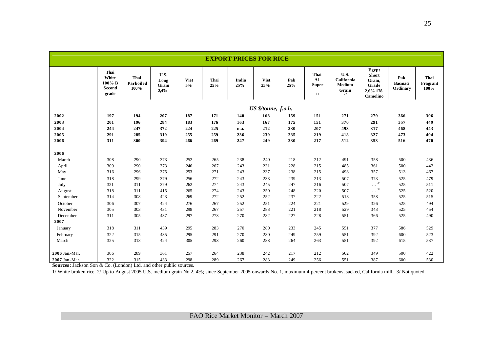|                |                                            |                           |                               |                   |             | <b>EXPORT PRICES FOR RICE</b> |                     |            |                                          |                                                    |                                                           |                                   |                          |
|----------------|--------------------------------------------|---------------------------|-------------------------------|-------------------|-------------|-------------------------------|---------------------|------------|------------------------------------------|----------------------------------------------------|-----------------------------------------------------------|-----------------------------------|--------------------------|
|                | Thai<br>White<br>100% B<br>Second<br>grade | Thai<br>Parboiled<br>100% | U.S.<br>Long<br>Grain<br>2,4% | <b>Viet</b><br>5% | Thai<br>25% | India<br>25%                  | <b>Viet</b><br>25%  | Pak<br>25% | Thai<br>${\bf A1}$<br><b>Super</b><br>1/ | U.S.<br>California<br><b>Medium</b><br>Grain<br>2l | Egypt<br>Short<br>Grain,<br>Grade<br>2,6% 178<br>Camolino | Pak<br><b>Basmati</b><br>Ordinary | Thai<br>Fragrant<br>100% |
|                |                                            |                           |                               |                   |             |                               | US \$/tonne, f.o.b. |            |                                          |                                                    |                                                           |                                   |                          |
| 2002           | 197                                        | 194                       | 207                           | 187               | 171         | 140                           | 168                 | 159        | 151                                      | 271                                                | 279                                                       | 366                               | 306                      |
| 2003           | 201                                        | 196                       | 284                           | 183               | 176         | 163                           | 167                 | 175        | 151                                      | 370                                                | 291                                                       | 357                               | 449                      |
| 2004           | 244                                        | 247                       | 372                           | 224               | 225         | n.a.                          | 212                 | 230        | 207                                      | 493                                                | 317                                                       | 468                               | 443                      |
| 2005           | 291                                        | 285                       | 319                           | 255               | 259         | 236                           | 239                 | 235        | 219                                      | 418                                                | 327                                                       | 473                               | 404                      |
| 2006           | 311                                        | 300                       | 394                           | 266               | 269         | 247                           | 249                 | 230        | 217                                      | 512                                                | 353                                                       | 516                               | 470                      |
| 2006           |                                            |                           |                               |                   |             |                               |                     |            |                                          |                                                    |                                                           |                                   |                          |
| March          | 308                                        | 290                       | 373                           | 252               | 265         | 238                           | 240                 | 218        | 212                                      | 491                                                | 358                                                       | 500                               | 436                      |
| April          | 309                                        | 290                       | 373                           | 246               | 267         | 243                           | 231                 | 228        | 215                                      | 485                                                | 361                                                       | 500                               | 442                      |
| May            | 316                                        | 296                       | 375                           | 253               | 271         | 243                           | 237                 | 238        | 215                                      | 498                                                | 357                                                       | 513                               | 467                      |
| June           | 318                                        | 299                       | 379                           | 256               | 272         | 243                           | 233                 | 239        | 213                                      | 507                                                | 373                                                       | 525                               | 479                      |
| July           | 321                                        | 311                       | 379                           | 262               | 274         | 243                           | 245                 | 247        | 216                                      | 507                                                | 3/<br>$\ldots$                                            | 525                               | 511                      |
| August         | 318                                        | 311                       | 415                           | 265               | 274         | 243                           | 250                 | 248        | 220                                      | 507                                                | $\frac{3}{2}$<br>$\ldots$                                 | 525                               | 520                      |
| September      | 314                                        | 308                       | 423                           | 269               | 272         | 252                           | 252                 | 237        | 222                                      | 518                                                | 358                                                       | 525                               | 515                      |
| October        | 306                                        | 307                       | 424                           | 276               | 267         | 252                           | 251                 | 224        | 221                                      | 529                                                | 326                                                       | 525                               | 494                      |
| November       | 305                                        | 303                       | 431                           | 298               | 267         | 257                           | 283                 | 221        | 218                                      | 529                                                | 343                                                       | 525                               | 454                      |
| December       | 311                                        | 305                       | 437                           | 297               | 273         | 270                           | 282                 | 227        | 228                                      | 551                                                | 366                                                       | 525                               | 490                      |
| 2007           |                                            |                           |                               |                   |             |                               |                     |            |                                          |                                                    |                                                           |                                   |                          |
| January        | 318                                        | 311                       | 439                           | 295               | 283         | 270                           | 280                 | 233        | 245                                      | 551                                                | 377                                                       | 586                               | 529                      |
| February       | 322                                        | 315                       | 435                           | 295               | 291         | 270                           | 280                 | 249        | 259                                      | 551                                                | 392                                                       | 600                               | 523                      |
| March          | 325                                        | 318                       | 424                           | 305               | 293         | 260                           | 288                 | 264        | 263                                      | 551                                                | 392                                                       | 615                               | 537                      |
| 2006 Jan.-Mar. | 306                                        | 289                       | 361                           | 257               | 264         | 238                           | 242                 | 217        | 212                                      | 502                                                | 349                                                       | 500                               | 422                      |
| 2007 Jan.-Mar. | 322                                        | 315                       | 433                           | 298               | 289         | 267                           | 283                 | 249        | 256                                      | 551                                                | 387                                                       | 600                               | 530                      |

**Sources**: Jackson Son & Co. (London) Ltd. and other public sources.

1/ White broken rice. 2/ Up to August 2005 U.S. medium grain No.2, 4%; since September 2005 onwards No. 1, maximum 4-percent brokens, sacked, California mill. 3/ Not quoted.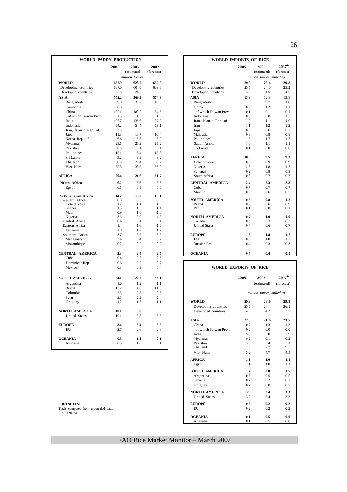| WORLD PADDY PRODUCTION  |            |                     |                    |                                       | <b>WORLD IMPORTS OF RICE</b> |                            |                           |
|-------------------------|------------|---------------------|--------------------|---------------------------------------|------------------------------|----------------------------|---------------------------|
|                         | 2005       | 2006<br>(estimated) | 2007<br>(forecast) |                                       | 2005                         | 2006<br>(estimated)        | $2007^{1/}$<br>(forecast) |
|                         |            | million tonnes      |                    |                                       |                              | million tonnes, milled eq. |                           |
| <b>WORLD</b>            | 632.9      | 628.7               | 632.8              | <b>WORLD</b>                          | 29.8                         | 28.6                       | 29.8                      |
| Developing countries    | 607.0      | 604.0               | 609.6              | Developing countries                  | 25.5                         | 24.0                       | 25.2                      |
| Developed countries     | 25.8       | 24.7                | 23.2               | Developed countries                   | 4.3                          | 4.5                        | 4.6                       |
| <b>ASIA</b>             | 572.2      | 569.2               | 574.3              | <b>ASIA</b>                           | 13.3                         | 12.8                       | 13.8                      |
| Bangladesh              | 39.8       | 39.2                | 40.5               | Bangladesh                            | 1.0                          | 0.7                        | 1.0                       |
| Cambodia                | 6.0        | 6.3                 | 6.5                | China                                 | 0.9                          | 1.2                        | 1.1                       |
| China                   | 182.1      | 182.2               | 184.5              | of which Taiwan Prov.                 | 0.1                          | 0.1                        | 0.1                       |
| of which Taiwan Prov.   | 1.5        | 1.5                 | 1.5                | Indonesia                             | 0.6                          | 0.8                        | 1.5                       |
| India                   | 137.7      | 136.6               | 137.0              | Iran, Islamic Rep. of                 | 1.2                          | 1.1                        | 1.0                       |
| Indonesia               | 54.2       | 54.4                | 53.1               | Iraq                                  | 1.1                          | 1.2                        | 1.2                       |
| Iran, Islamic Rep. of   | 3.3        | 3.3                 | 3.5                | Japan                                 | 0.8                          | 0.6                        | 0.7                       |
| Japan                   | 11.3       | 10.7                | 10.4               | Malaysia                              | 0.8                          | 0.8                        | 0.8                       |
| Korea Rep. of           | 6.4        | 6.3                 | 6.2                | Philippines                           | 1.8                          | 1.7                        | 1.7                       |
| Myanmar                 | 25.1       | 25.2                | 25.2               | Saudi Arabia                          | 1.0                          | 1.1                        | 1.1                       |
| Pakistan                | 8.3        | 8.1                 | 8.4                | Sri Lanka                             | 0.1                          | 0.0                        | 0.0                       |
| Philippines             | 15.1       | 15.4                | 15.8               |                                       |                              |                            |                           |
| Sri Lanka               | 3.2        | 3.3                 | 3.2                | <b>AFRICA</b>                         | 10.5                         | 9.5                        | 9.3                       |
| Thailand                | 30.3       | 29.4                | 30.2               | Côte d'Ivoire                         | 0.9                          | 0.9                        | 0.9                       |
| Viet Nam                | 35.8       | 35.8                | 36.0               | Nigeria                               | 2.3                          | 1.8                        | 1.7                       |
|                         |            |                     |                    | Senegal                               | 0.9                          | 0.8                        | 0.8                       |
| <b>AFRICA</b>           | 20.4       | 21.6                | 21.7               | South Africa                          | 0.8                          | 0.7                        | 0.7                       |
| North Africa            | 6.2        | 6.6                 | 6.6                | <b>CENTRAL AMERICA</b>                | 2.4                          | 2.3                        | 2.3                       |
| Egypt                   | 6.1        | 6.5                 | 6.6                | Cuba                                  | 0.7                          | 0.7                        | 0.7                       |
|                         |            |                     |                    | Mexico                                | 0.5                          | 0.6                        | 0.5                       |
| Sub-Saharan Africa      | 14.2       | 15.0                | 15.1               |                                       |                              |                            |                           |
| Western Africa          | 8.8<br>1.2 | 9.3<br>1.1          | 9.6<br>1.0         | <b>SOUTH AMERICA</b><br><b>Brazil</b> | 0.8<br>0.5                   | 0.8<br>0.6                 | 1.2<br>0.9                |
| Côte d'Ivoire<br>Guinea | 1.3        | 1.3                 | 1.4                | Peru                                  | 0.1                          | 0.0                        | 0.1                       |
| Mali                    | 0.9        | 1.0                 | 1.0                |                                       |                              |                            |                           |
| Nigeria                 | 3.6        | 3.9                 | 4.3                | <b>NORTH AMERICA</b>                  | 0.7                          | 1.0                        | 1.0                       |
| Central Africa          | 0.4        | 0.4                 | 0.4                | Canada                                | 0.3                          | 0.3                        | 0.3                       |
| Eastern Africa          | 1.4        | 1.6                 | 1.6                | <b>United States</b>                  | 0.4                          | 0.6                        | 0.7                       |
| Tanzania                | 1.0        | 1.2                 | 1.2                |                                       |                              |                            |                           |
| Southern Africa         | 3.7        | 3.7                 | 3.5                | <b>EUROPE</b>                         | 1.6                          | 1.8                        | 1.7                       |
| Madagascar              | 3.4        | 3.4                 | 3.2                | <b>EU</b>                             | 0.8                          | 1.0                        | 1.2                       |
| Mozambique              | 0.2        | 0.2                 | 0.2                | Russian Fed.                          | 0.4                          | 0.3                        | 0.3                       |
| <b>CENTRAL AMERICA</b>  | 2.3        | 2.4                 | 2.5                | <b>OCEANIA</b>                        | 0.4                          | 0.4                        | 0.4                       |
| Cuba                    | 0.4        | 0.5                 | 0.5                |                                       |                              |                            |                           |
| Dominican Rep.          | 0.6        | 0.7                 | 0.7                |                                       | <b>WORLD EXPORTS OF RICE</b> |                            |                           |
| Mexico                  | 0.3        | 0.3                 | 0.4                |                                       |                              |                            |                           |
| <b>SOUTH AMERICA</b>    | 24.1       | 22.2                | 22.1               |                                       | 2005                         | 2006                       | $2007^{1/2}$              |
| Argentina               | 1.0        | 1.2                 | 1.1                |                                       |                              | (estimated)                | (forecast)                |
| <b>Brazil</b>           | 13.2       | 11.6                | 11.3               |                                       |                              |                            |                           |
| Colombia                | 2.5        | 2.3                 | 2.5                |                                       |                              | million tonnes, milled eq. |                           |
| Peru                    | 2.5        | 2.2                 | 2.4                |                                       |                              |                            |                           |
| Uruguay                 | 1.2        | 1.3                 | 1.1                | <b>WORLD</b>                          | 29.8                         | 28.6                       | 29.8                      |
|                         |            |                     |                    | Developing countries                  | 25.5                         | 24.4                       | 26.1                      |
| NORTH AMERICA           | 10.1       | 8.8                 | 8.5                | Developed countries                   | 4.3                          | 4.2                        | 3.7                       |
| <b>United States</b>    | 10.1       | 8.8                 | 8.5                |                                       |                              |                            |                           |
|                         |            |                     |                    | <b>ASIA</b>                           | 22.9                         | 21.6                       | 23.5                      |
| <b>EUROPE</b>           | 3.4        | 3.4                 | 3.5                | China                                 | 0.7                          | 1.3                        | 1.3                       |
| EU                      | 2.7        | 2.6                 | 2.8                | of which Taiwan Prov.                 | 0.0                          | 0.0                        | 0.0                       |
|                         |            |                     |                    | India                                 | 5.0                          | 3.8                        | 3.9                       |
| <b>OCEANIA</b>          | 0.3        | 1.1                 | 0.1                | Myanmar                               | 0.2                          | 0.1                        | 0.2                       |
| Australia               | 0.3        | 1.0                 | 0.1                | Pakistan                              | 3.5                          | 3.4                        | 3.1                       |
|                         |            |                     |                    | Thailand                              | 7.5                          | 7.7                        | 9.3                       |

|            | DY PRODUCTION  |            | <b>WORLD IMPORTS OF RICE</b>   |      |                            |              |
|------------|----------------|------------|--------------------------------|------|----------------------------|--------------|
| 2005       | 2006           | 2007       |                                | 2005 | 2006                       | $2007^{1/2}$ |
|            | (estimated)    | (forecast) |                                |      | (estimated)                | (forecast)   |
|            | million tonnes |            |                                |      | million tonnes, milled eq. |              |
| 632.9      | 628.7          | 632.8      | <b>WORLD</b>                   | 29.8 | 28.6                       | 29.8         |
| 607.0      | 604.0          | 609.6      | Developing countries           | 25.5 | 24.0                       | 25.2         |
| 25.8       | 24.7           | 23.2       | Developed countries            | 4.3  | 4.5                        | 4.6          |
| 572.2      | 569.2          | 574.3      | <b>ASIA</b>                    | 13.3 | 12.8                       | 13.8         |
| 39.8       | 39.2           | 40.5       | Bangladesh                     | 1.0  | 0.7                        | 1.0          |
| 6.0        | 6.3            | 6.5        | China                          | 0.9  | 1.2                        | 1.1          |
| 182.1      | 182.2          | 184.5      | of which Taiwan Prov.          | 0.1  | 0.1                        | 0.1          |
| 1.5        | 1.5            | 1.5        | Indonesia                      | 0.6  | 0.8                        | 1.5          |
| 137.7      | 136.6          | 137.0      | Iran, Islamic Rep. of          | 1.2  | 1.1                        | 1.0          |
| 54.2       | 54.4           | 53.1       | Iraq                           | 1.1  | 1.2                        | 1.2          |
| 3.3        | 3.3            | 3.5        | Japan                          | 0.8  | 0.6                        | 0.7          |
| 11.3       | 10.7           | 10.4       | Malaysia                       | 0.8  | 0.8                        | 0.8          |
| 6.4        | 6.3            | 6.2        | Philippines                    | 1.8  | 1.7                        | 1.7          |
| 25.1       | 25.2           | 25.2       | Saudi Arabia                   | 1.0  | 1.1                        | 1.1          |
| 8.3        | 8.1            | 8.4        | Sri Lanka                      | 0.1  | 0.0                        | 0.0          |
| 15.1       | 15.4           | 15.8       |                                |      |                            |              |
| 3.2        | 3.3            | 3.2        | <b>AFRICA</b>                  | 10.5 | 9.5                        | 9.3          |
| 30.3       | 29.4           | 30.2       | Côte d'Ivoire                  | 0.9  | 0.9                        | 0.9          |
| 35.8       | 35.8           | 36.0       | Nigeria                        | 2.3  | 1.8                        | 1.7          |
|            |                |            | Senegal                        | 0.9  | 0.8                        | 0.8          |
| 20.4       | 21.6           | 21.7       | South Africa                   | 0.8  | 0.7                        | 0.7          |
| 6.2        | 6.6            | 6.6        | <b>CENTRAL AMERICA</b>         | 2.4  | 2.3                        | 2.3          |
| 6.1        | 6.5            | 6.6        | Cuba                           | 0.7  | 0.7                        | 0.7          |
|            |                |            | Mexico                         | 0.5  | 0.6                        | 0.5          |
| 14.2       | 15.0           | 15.1       |                                | 0.8  | 0.8                        | 1.2          |
| 8.8<br>1.2 | 9.3<br>1.1     | 9.6<br>1.0 | <b>SOUTH AMERICA</b><br>Brazil | 0.5  | $0.6^{\circ}$              | 0.9          |
| 1.3        | 1.3            | 1.4        | Peru                           | 0.1  | 0.0                        | 0.1          |
| 0.9        | 1.0            | 1.0        |                                |      |                            |              |
| 3.6        | 3.9            | 4.3        | <b>NORTH AMERICA</b>           | 0.7  | 1.0                        | 1.0          |
| 0.4        | 0.4            | 0.4        | Canada                         | 0.3  | 0.3                        | 0.3          |
| 1.4        | 1.6            | 1.6        | <b>United States</b>           | 0.4  | 0.6                        | 0.7          |
| 1.0        | 1.2            | 1.2        |                                |      |                            |              |
| 3.7        | 3.7            | 3.5        | <b>EUROPE</b>                  | 1.6  | 1.8                        | 1.7          |
| 3.4        | 3.4            | 3.2        | EU                             | 0.8  | 1.0                        | 1.2          |
| 0.2        | 0.2            | 0.2        | Russian Fed.                   | 0.4  | 0.3                        | 0.3          |
| 2.3        | 2.4            | 2.5        | <b>OCEANIA</b>                 | 0.4  | 0.4                        | 0.4          |
| 0.4        | 0.5            | 0.5        |                                |      |                            |              |

#### **WORLD EXPORTS OF RICE**

| 1.2<br>1.1<br>1.0<br>Argentina<br><b>Brazil</b><br>11.3<br>11.6<br>13.2<br>2.5<br>Colombia<br>2.5<br>2.3<br>million tonnes, milled eq.<br>2.4<br>2.2<br>Peru<br>2.5<br><b>WORLD</b><br>29.8<br>1.3<br>1.2<br>1.1<br>Uruguay<br>Developing countries<br>25.5<br><b>NORTH AMERICA</b><br>8.8<br>8.5<br>Developed countries<br>4.3<br>10.1<br>10.1<br>8.8<br>8.5<br><b>United States</b><br><b>ASIA</b><br>22.9<br>3.5<br>China<br><b>EUROPE</b><br>3.4<br>3.4<br>0.7<br>EU<br>2.7<br>2.8<br>of which Taiwan Prov.<br>2.6<br>0.0<br>India<br>5.0<br>0.1<br><b>OCEANIA</b><br>0.3<br>1.1<br>0.2<br>Myanmar<br>1.0<br>0.1<br>Pakistan<br>Australia<br>0.3<br>3.5<br>Thailand<br>7.5<br>Viet Nam<br>5.2<br><b>AFRICA</b><br>1.1<br>1.1<br>Egypt<br><b>SOUTH AMERICA</b><br>1.7<br>0.3<br>Argentina<br>0.2<br>Guyana<br>Uruguay<br>0.7<br><b>NORTH AMERICA</b><br>3.9<br><b>United States</b><br>3.9<br><b>EUROPE</b><br>0.2<br>EU<br>0.2<br><b>OCEANIA</b><br>0.1 | SOUTH AMERICA | 24.1 | 22.2 | 22.1 | 2005 | 2006        |
|-------------------------------------------------------------------------------------------------------------------------------------------------------------------------------------------------------------------------------------------------------------------------------------------------------------------------------------------------------------------------------------------------------------------------------------------------------------------------------------------------------------------------------------------------------------------------------------------------------------------------------------------------------------------------------------------------------------------------------------------------------------------------------------------------------------------------------------------------------------------------------------------------------------------------------------------------------------|---------------|------|------|------|------|-------------|
|                                                                                                                                                                                                                                                                                                                                                                                                                                                                                                                                                                                                                                                                                                                                                                                                                                                                                                                                                             |               |      |      |      |      | (estimated) |
|                                                                                                                                                                                                                                                                                                                                                                                                                                                                                                                                                                                                                                                                                                                                                                                                                                                                                                                                                             |               |      |      |      |      |             |
|                                                                                                                                                                                                                                                                                                                                                                                                                                                                                                                                                                                                                                                                                                                                                                                                                                                                                                                                                             |               |      |      |      |      |             |
|                                                                                                                                                                                                                                                                                                                                                                                                                                                                                                                                                                                                                                                                                                                                                                                                                                                                                                                                                             |               |      |      |      |      |             |
|                                                                                                                                                                                                                                                                                                                                                                                                                                                                                                                                                                                                                                                                                                                                                                                                                                                                                                                                                             |               |      |      |      |      | 28.6        |
|                                                                                                                                                                                                                                                                                                                                                                                                                                                                                                                                                                                                                                                                                                                                                                                                                                                                                                                                                             |               |      |      |      |      | 24.4        |
|                                                                                                                                                                                                                                                                                                                                                                                                                                                                                                                                                                                                                                                                                                                                                                                                                                                                                                                                                             |               |      |      |      |      | 4.2         |
|                                                                                                                                                                                                                                                                                                                                                                                                                                                                                                                                                                                                                                                                                                                                                                                                                                                                                                                                                             |               |      |      |      |      |             |
|                                                                                                                                                                                                                                                                                                                                                                                                                                                                                                                                                                                                                                                                                                                                                                                                                                                                                                                                                             |               |      |      |      |      | 21.6        |
|                                                                                                                                                                                                                                                                                                                                                                                                                                                                                                                                                                                                                                                                                                                                                                                                                                                                                                                                                             |               |      |      |      |      | 1.3         |
|                                                                                                                                                                                                                                                                                                                                                                                                                                                                                                                                                                                                                                                                                                                                                                                                                                                                                                                                                             |               |      |      |      |      | 0.0         |
|                                                                                                                                                                                                                                                                                                                                                                                                                                                                                                                                                                                                                                                                                                                                                                                                                                                                                                                                                             |               |      |      |      |      | 3.8         |
|                                                                                                                                                                                                                                                                                                                                                                                                                                                                                                                                                                                                                                                                                                                                                                                                                                                                                                                                                             |               |      |      |      |      | 0.1         |
|                                                                                                                                                                                                                                                                                                                                                                                                                                                                                                                                                                                                                                                                                                                                                                                                                                                                                                                                                             |               |      |      |      |      | 3.4         |
|                                                                                                                                                                                                                                                                                                                                                                                                                                                                                                                                                                                                                                                                                                                                                                                                                                                                                                                                                             |               |      |      |      |      | 7.7         |
|                                                                                                                                                                                                                                                                                                                                                                                                                                                                                                                                                                                                                                                                                                                                                                                                                                                                                                                                                             |               |      |      |      |      | 4.7         |
|                                                                                                                                                                                                                                                                                                                                                                                                                                                                                                                                                                                                                                                                                                                                                                                                                                                                                                                                                             |               |      |      |      |      | 1.0         |
|                                                                                                                                                                                                                                                                                                                                                                                                                                                                                                                                                                                                                                                                                                                                                                                                                                                                                                                                                             |               |      |      |      |      | 1.0         |
|                                                                                                                                                                                                                                                                                                                                                                                                                                                                                                                                                                                                                                                                                                                                                                                                                                                                                                                                                             |               |      |      |      |      | 2.0         |
|                                                                                                                                                                                                                                                                                                                                                                                                                                                                                                                                                                                                                                                                                                                                                                                                                                                                                                                                                             |               |      |      |      |      | 0.5         |
|                                                                                                                                                                                                                                                                                                                                                                                                                                                                                                                                                                                                                                                                                                                                                                                                                                                                                                                                                             |               |      |      |      |      | 0.2         |
|                                                                                                                                                                                                                                                                                                                                                                                                                                                                                                                                                                                                                                                                                                                                                                                                                                                                                                                                                             |               |      |      |      |      | 0.8         |
|                                                                                                                                                                                                                                                                                                                                                                                                                                                                                                                                                                                                                                                                                                                                                                                                                                                                                                                                                             |               |      |      |      |      | 3.4         |
| <b>FOOTNOTES:</b><br>Totals computed from unrounded data.<br>1/ Tentative.                                                                                                                                                                                                                                                                                                                                                                                                                                                                                                                                                                                                                                                                                                                                                                                                                                                                                  |               |      |      |      |      | 3.4         |
|                                                                                                                                                                                                                                                                                                                                                                                                                                                                                                                                                                                                                                                                                                                                                                                                                                                                                                                                                             |               |      |      |      |      | 0.2         |
|                                                                                                                                                                                                                                                                                                                                                                                                                                                                                                                                                                                                                                                                                                                                                                                                                                                                                                                                                             |               |      |      |      |      | 0.2         |
|                                                                                                                                                                                                                                                                                                                                                                                                                                                                                                                                                                                                                                                                                                                                                                                                                                                                                                                                                             |               |      |      |      |      | 0.5         |
| 0.1<br>Australia                                                                                                                                                                                                                                                                                                                                                                                                                                                                                                                                                                                                                                                                                                                                                                                                                                                                                                                                            |               |      |      |      |      | 0.5         |